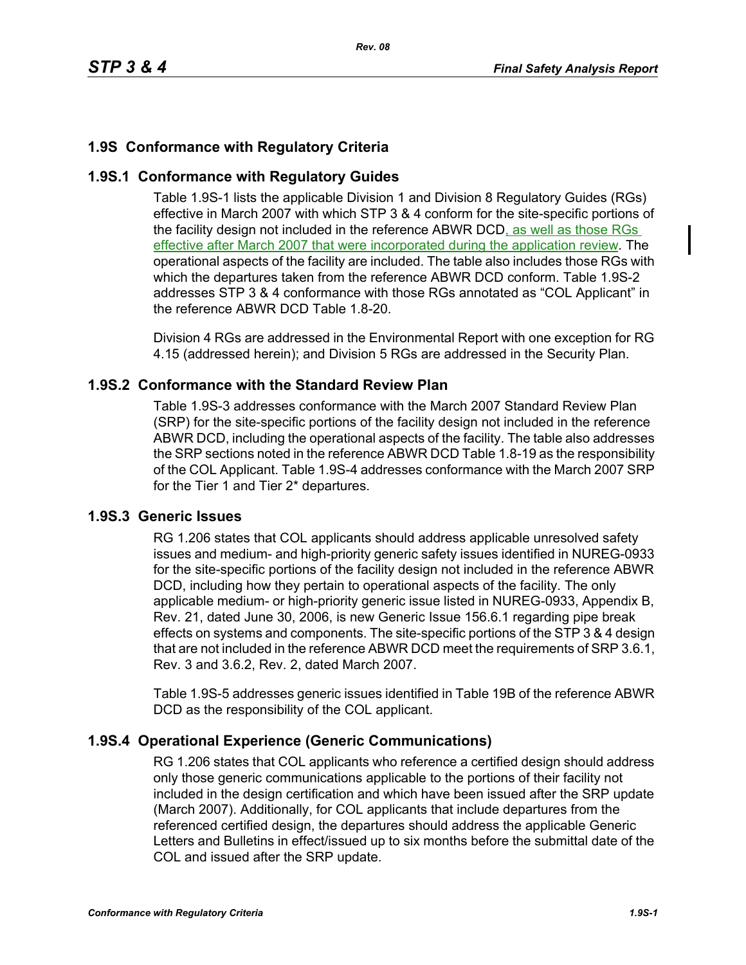# **1.9S Conformance with Regulatory Criteria**

# **1.9S.1 Conformance with Regulatory Guides**

Table 1.9S-1 lists the applicable Division 1 and Division 8 Regulatory Guides (RGs) effective in March 2007 with which STP 3 & 4 conform for the site-specific portions of the facility design not included in the reference ABWR DCD, as well as those RGs effective after March 2007 that were incorporated during the application review. The operational aspects of the facility are included. The table also includes those RGs with which the departures taken from the reference ABWR DCD conform. Table 1.9S-2 addresses STP 3 & 4 conformance with those RGs annotated as "COL Applicant" in the reference ABWR DCD Table 1.8-20.

Division 4 RGs are addressed in the Environmental Report with one exception for RG 4.15 (addressed herein); and Division 5 RGs are addressed in the Security Plan.

# **1.9S.2 Conformance with the Standard Review Plan**

Table 1.9S-3 addresses conformance with the March 2007 Standard Review Plan (SRP) for the site-specific portions of the facility design not included in the reference ABWR DCD, including the operational aspects of the facility. The table also addresses the SRP sections noted in the reference ABWR DCD Table 1.8-19 as the responsibility of the COL Applicant. Table 1.9S-4 addresses conformance with the March 2007 SRP for the Tier 1 and Tier 2\* departures.

# **1.9S.3 Generic Issues**

RG 1.206 states that COL applicants should address applicable unresolved safety issues and medium- and high-priority generic safety issues identified in NUREG-0933 for the site-specific portions of the facility design not included in the reference ABWR DCD, including how they pertain to operational aspects of the facility. The only applicable medium- or high-priority generic issue listed in NUREG-0933, Appendix B, Rev. 21, dated June 30, 2006, is new Generic Issue 156.6.1 regarding pipe break effects on systems and components. The site-specific portions of the STP 3 & 4 design that are not included in the reference ABWR DCD meet the requirements of SRP 3.6.1, Rev. 3 and 3.6.2, Rev. 2, dated March 2007.

Table 1.9S-5 addresses generic issues identified in Table 19B of the reference ABWR DCD as the responsibility of the COL applicant.

# **1.9S.4 Operational Experience (Generic Communications)**

RG 1.206 states that COL applicants who reference a certified design should address only those generic communications applicable to the portions of their facility not included in the design certification and which have been issued after the SRP update (March 2007). Additionally, for COL applicants that include departures from the referenced certified design, the departures should address the applicable Generic Letters and Bulletins in effect/issued up to six months before the submittal date of the COL and issued after the SRP update.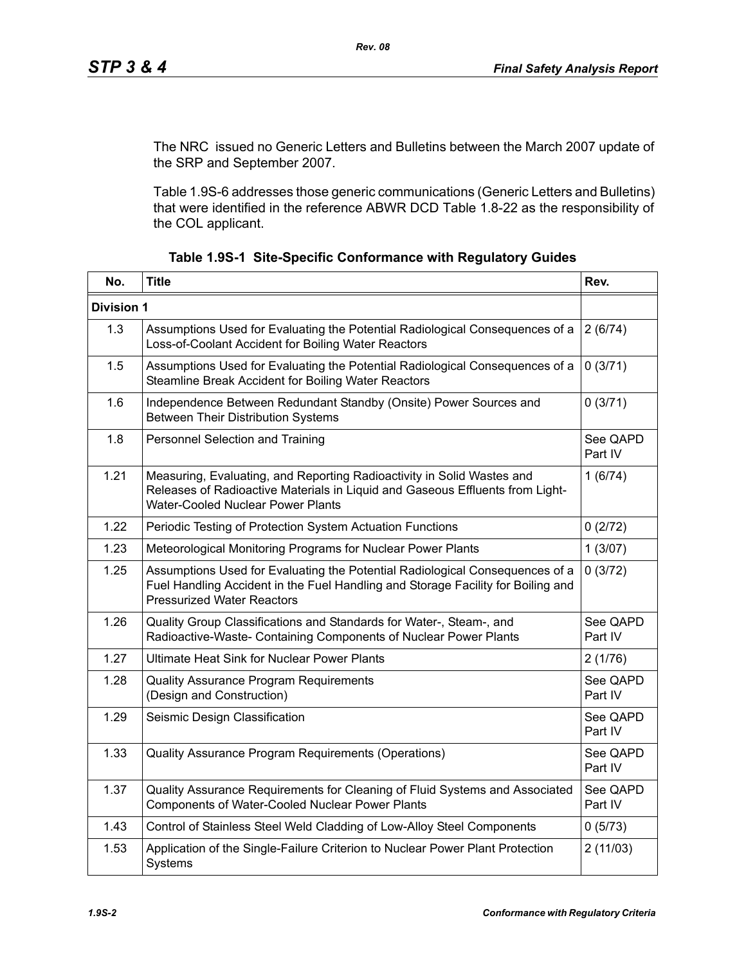The NRC issued no Generic Letters and Bulletins between the March 2007 update of the SRP and September 2007.

Table 1.9S-6 addresses those generic communications (Generic Letters and Bulletins) that were identified in the reference ABWR DCD Table 1.8-22 as the responsibility of the COL applicant.

| No.               | <b>Title</b>                                                                                                                                                                                          |                     |  |  |
|-------------------|-------------------------------------------------------------------------------------------------------------------------------------------------------------------------------------------------------|---------------------|--|--|
| <b>Division 1</b> |                                                                                                                                                                                                       |                     |  |  |
| 1.3               | Assumptions Used for Evaluating the Potential Radiological Consequences of a<br>Loss-of-Coolant Accident for Boiling Water Reactors                                                                   | 2(6/74)             |  |  |
| 1.5               | Assumptions Used for Evaluating the Potential Radiological Consequences of a<br>Steamline Break Accident for Boiling Water Reactors                                                                   | 0(3/71)             |  |  |
| 1.6               | Independence Between Redundant Standby (Onsite) Power Sources and<br><b>Between Their Distribution Systems</b>                                                                                        | 0(3/71)             |  |  |
| 1.8               | Personnel Selection and Training                                                                                                                                                                      | See QAPD<br>Part IV |  |  |
| 1.21              | Measuring, Evaluating, and Reporting Radioactivity in Solid Wastes and<br>Releases of Radioactive Materials in Liquid and Gaseous Effluents from Light-<br>Water-Cooled Nuclear Power Plants          |                     |  |  |
| 1.22              | Periodic Testing of Protection System Actuation Functions<br>0(2/72)                                                                                                                                  |                     |  |  |
| 1.23              | Meteorological Monitoring Programs for Nuclear Power Plants                                                                                                                                           |                     |  |  |
| 1.25              | Assumptions Used for Evaluating the Potential Radiological Consequences of a<br>Fuel Handling Accident in the Fuel Handling and Storage Facility for Boiling and<br><b>Pressurized Water Reactors</b> |                     |  |  |
| 1.26              | Quality Group Classifications and Standards for Water-, Steam-, and<br>Radioactive-Waste- Containing Components of Nuclear Power Plants                                                               |                     |  |  |
| 1.27              | <b>Ultimate Heat Sink for Nuclear Power Plants</b>                                                                                                                                                    |                     |  |  |
| 1.28              | <b>Quality Assurance Program Requirements</b><br>(Design and Construction)                                                                                                                            |                     |  |  |
| 1.29              | Seismic Design Classification                                                                                                                                                                         | See QAPD<br>Part IV |  |  |
| 1.33              | Quality Assurance Program Requirements (Operations)                                                                                                                                                   |                     |  |  |
| 1.37              | Quality Assurance Requirements for Cleaning of Fluid Systems and Associated<br>See QAPD<br>Components of Water-Cooled Nuclear Power Plants<br>Part IV                                                 |                     |  |  |
| 1.43              | Control of Stainless Steel Weld Cladding of Low-Alloy Steel Components                                                                                                                                | 0(5/73)             |  |  |
| 1.53              | Application of the Single-Failure Criterion to Nuclear Power Plant Protection<br>2(11/03)<br>Systems                                                                                                  |                     |  |  |

**Table 1.9S-1 Site-Specific Conformance with Regulatory Guides**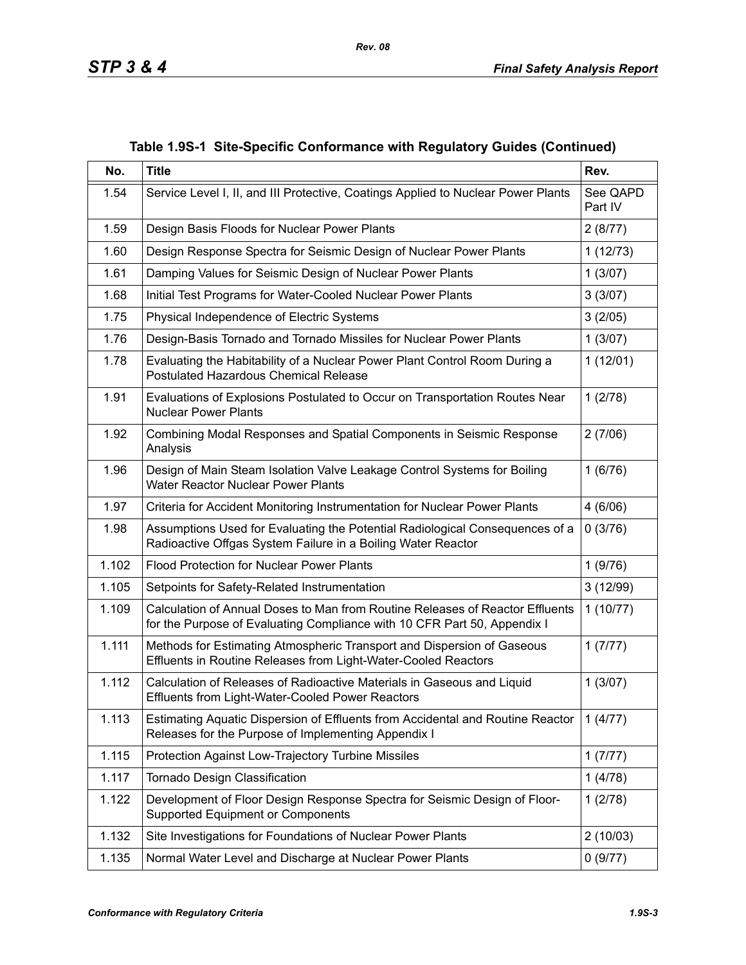| No.   | <b>Title</b>                                                                                                                                              | Rev.                |  |  |
|-------|-----------------------------------------------------------------------------------------------------------------------------------------------------------|---------------------|--|--|
| 1.54  | Service Level I, II, and III Protective, Coatings Applied to Nuclear Power Plants                                                                         | See QAPD<br>Part IV |  |  |
| 1.59  | Design Basis Floods for Nuclear Power Plants                                                                                                              | 2(8/77)             |  |  |
| 1.60  | Design Response Spectra for Seismic Design of Nuclear Power Plants                                                                                        | 1(12/73)            |  |  |
| 1.61  | Damping Values for Seismic Design of Nuclear Power Plants                                                                                                 | 1(3/07)             |  |  |
| 1.68  | Initial Test Programs for Water-Cooled Nuclear Power Plants<br>3(3/07)                                                                                    |                     |  |  |
| 1.75  | Physical Independence of Electric Systems                                                                                                                 | 3(2/05)             |  |  |
| 1.76  | Design-Basis Tornado and Tornado Missiles for Nuclear Power Plants                                                                                        | 1(3/07)             |  |  |
| 1.78  | Evaluating the Habitability of a Nuclear Power Plant Control Room During a<br><b>Postulated Hazardous Chemical Release</b>                                | 1(12/01)            |  |  |
| 1.91  | Evaluations of Explosions Postulated to Occur on Transportation Routes Near<br><b>Nuclear Power Plants</b>                                                | 1(2/78)             |  |  |
| 1.92  | 2(7/06)<br>Combining Modal Responses and Spatial Components in Seismic Response<br>Analysis                                                               |                     |  |  |
| 1.96  | Design of Main Steam Isolation Valve Leakage Control Systems for Boiling<br>Water Reactor Nuclear Power Plants                                            |                     |  |  |
| 1.97  | 4(6/06)<br>Criteria for Accident Monitoring Instrumentation for Nuclear Power Plants                                                                      |                     |  |  |
| 1.98  | Assumptions Used for Evaluating the Potential Radiological Consequences of a<br>0(3/76)<br>Radioactive Offgas System Failure in a Boiling Water Reactor   |                     |  |  |
| 1.102 | <b>Flood Protection for Nuclear Power Plants</b>                                                                                                          | 1(9/76)             |  |  |
| 1.105 | Setpoints for Safety-Related Instrumentation                                                                                                              | 3(12/99)            |  |  |
| 1.109 | Calculation of Annual Doses to Man from Routine Releases of Reactor Effluents<br>for the Purpose of Evaluating Compliance with 10 CFR Part 50, Appendix I | 1(10/77)            |  |  |
| 1.111 | 1(7/77)<br>Methods for Estimating Atmospheric Transport and Dispersion of Gaseous<br>Effluents in Routine Releases from Light-Water-Cooled Reactors       |                     |  |  |
| 1.112 | Calculation of Releases of Radioactive Materials in Gaseous and Liquid<br>Effluents from Light-Water-Cooled Power Reactors                                |                     |  |  |
| 1.113 | Estimating Aquatic Dispersion of Effluents from Accidental and Routine Reactor<br>1(4/77)<br>Releases for the Purpose of Implementing Appendix I          |                     |  |  |
| 1.115 | Protection Against Low-Trajectory Turbine Missiles                                                                                                        | 1(7/77)             |  |  |
| 1.117 | Tornado Design Classification                                                                                                                             | 1(4/78)             |  |  |
| 1.122 | Development of Floor Design Response Spectra for Seismic Design of Floor-<br>Supported Equipment or Components                                            | 1(2/78)             |  |  |
| 1.132 | Site Investigations for Foundations of Nuclear Power Plants                                                                                               | 2(10/03)            |  |  |
| 1.135 | Normal Water Level and Discharge at Nuclear Power Plants<br>0(9/77)                                                                                       |                     |  |  |

**Table 1.9S-1 Site-Specific Conformance with Regulatory Guides (Continued)**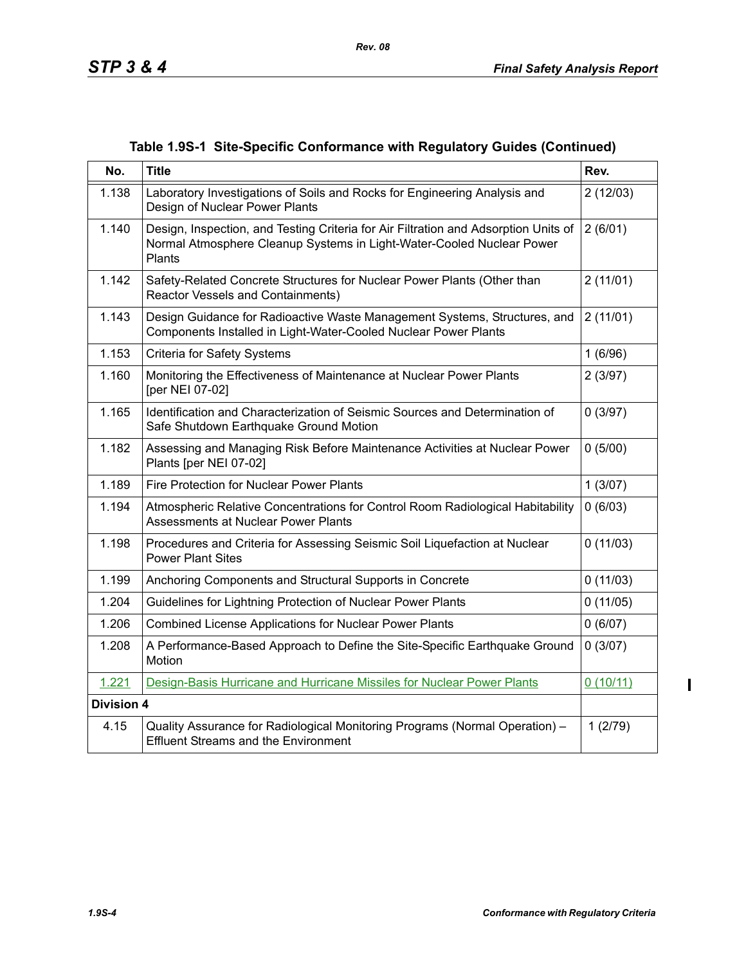| Table 1.9S-1 Site-Specific Conformance with Regulatory Guides (Continued) |  |  |  |  |  |  |
|---------------------------------------------------------------------------|--|--|--|--|--|--|
|---------------------------------------------------------------------------|--|--|--|--|--|--|

| No.               | <b>Title</b>                                                                                                                                                                      | Rev.     |  |  |
|-------------------|-----------------------------------------------------------------------------------------------------------------------------------------------------------------------------------|----------|--|--|
| 1.138             | Laboratory Investigations of Soils and Rocks for Engineering Analysis and<br>Design of Nuclear Power Plants                                                                       | 2(12/03) |  |  |
| 1.140             | Design, Inspection, and Testing Criteria for Air Filtration and Adsorption Units of<br>2(6/01)<br>Normal Atmosphere Cleanup Systems in Light-Water-Cooled Nuclear Power<br>Plants |          |  |  |
| 1.142             | Safety-Related Concrete Structures for Nuclear Power Plants (Other than<br><b>Reactor Vessels and Containments)</b>                                                               | 2(11/01) |  |  |
| 1.143             | Design Guidance for Radioactive Waste Management Systems, Structures, and<br>Components Installed in Light-Water-Cooled Nuclear Power Plants                                      | 2(11/01) |  |  |
| 1.153             | <b>Criteria for Safety Systems</b>                                                                                                                                                | 1(6/96)  |  |  |
| 1.160             | Monitoring the Effectiveness of Maintenance at Nuclear Power Plants<br>[per NEI 07-02]                                                                                            |          |  |  |
| 1.165             | Identification and Characterization of Seismic Sources and Determination of<br>Safe Shutdown Earthquake Ground Motion                                                             |          |  |  |
| 1.182             | Assessing and Managing Risk Before Maintenance Activities at Nuclear Power<br>Plants [per NEI 07-02]                                                                              |          |  |  |
| 1.189             | <b>Fire Protection for Nuclear Power Plants</b>                                                                                                                                   |          |  |  |
| 1.194             | Atmospheric Relative Concentrations for Control Room Radiological Habitability<br>Assessments at Nuclear Power Plants                                                             |          |  |  |
| 1.198             | Procedures and Criteria for Assessing Seismic Soil Liquefaction at Nuclear<br><b>Power Plant Sites</b>                                                                            |          |  |  |
| 1.199             | Anchoring Components and Structural Supports in Concrete                                                                                                                          | 0(11/03) |  |  |
| 1.204             | Guidelines for Lightning Protection of Nuclear Power Plants<br>0(11/05)                                                                                                           |          |  |  |
| 1.206             | Combined License Applications for Nuclear Power Plants<br>0(6/07)                                                                                                                 |          |  |  |
| 1.208             | A Performance-Based Approach to Define the Site-Specific Earthquake Ground<br>Motion                                                                                              |          |  |  |
| 1.221             | Design-Basis Hurricane and Hurricane Missiles for Nuclear Power Plants                                                                                                            | 0(10/11) |  |  |
| <b>Division 4</b> |                                                                                                                                                                                   |          |  |  |
| 4.15              | Quality Assurance for Radiological Monitoring Programs (Normal Operation) -<br><b>Effluent Streams and the Environment</b>                                                        | 1(2/79)  |  |  |

 $\blacksquare$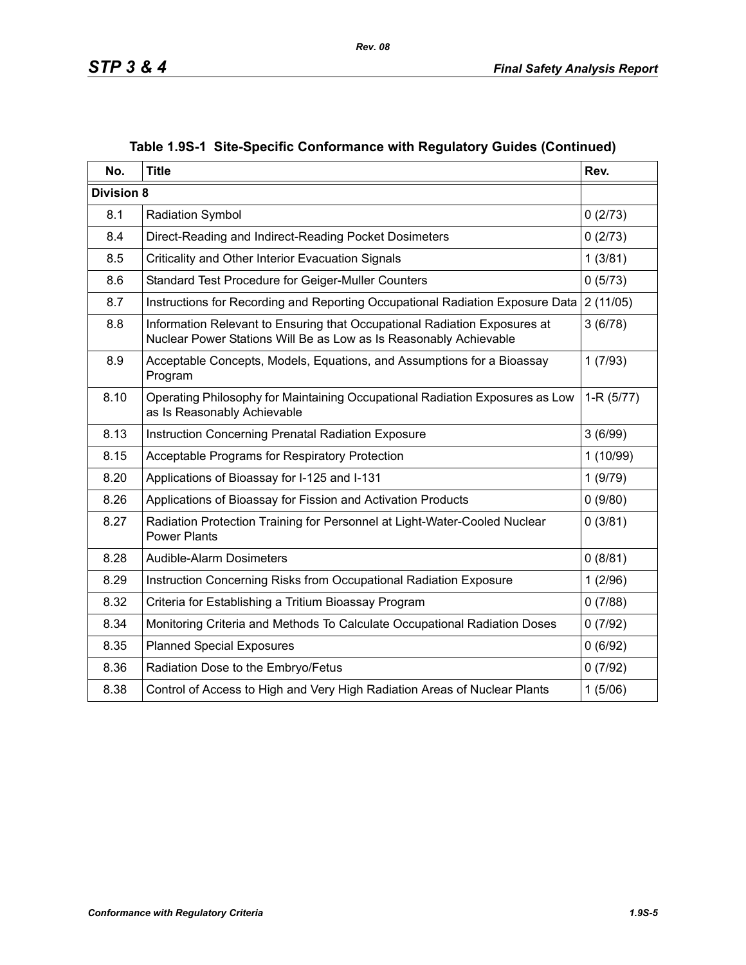| No.               | <b>Title</b>                                                                                                                                   | Rev.        |
|-------------------|------------------------------------------------------------------------------------------------------------------------------------------------|-------------|
| <b>Division 8</b> |                                                                                                                                                |             |
| 8.1               | <b>Radiation Symbol</b>                                                                                                                        | 0(2/73)     |
| 8.4               | Direct-Reading and Indirect-Reading Pocket Dosimeters                                                                                          | 0(2/73)     |
| 8.5               | Criticality and Other Interior Evacuation Signals                                                                                              | 1(3/81)     |
| 8.6               | Standard Test Procedure for Geiger-Muller Counters                                                                                             | 0(5/73)     |
| 8.7               | Instructions for Recording and Reporting Occupational Radiation Exposure Data                                                                  | 2(11/05)    |
| 8.8               | Information Relevant to Ensuring that Occupational Radiation Exposures at<br>Nuclear Power Stations Will Be as Low as Is Reasonably Achievable | 3(6/78)     |
| 8.9               | Acceptable Concepts, Models, Equations, and Assumptions for a Bioassay<br>Program                                                              | 1(7/93)     |
| 8.10              | Operating Philosophy for Maintaining Occupational Radiation Exposures as Low<br>as Is Reasonably Achievable                                    | $1-R(5/77)$ |
| 8.13              | <b>Instruction Concerning Prenatal Radiation Exposure</b>                                                                                      |             |
| 8.15              | Acceptable Programs for Respiratory Protection                                                                                                 | 1(10/99)    |
| 8.20              | Applications of Bioassay for I-125 and I-131<br>1(9/79)                                                                                        |             |
| 8.26              | Applications of Bioassay for Fission and Activation Products                                                                                   | 0(9/80)     |
| 8.27              | Radiation Protection Training for Personnel at Light-Water-Cooled Nuclear<br><b>Power Plants</b>                                               |             |
| 8.28              | Audible-Alarm Dosimeters                                                                                                                       | 0(8/81)     |
| 8.29              | Instruction Concerning Risks from Occupational Radiation Exposure                                                                              | 1(2/96)     |
| 8.32              | Criteria for Establishing a Tritium Bioassay Program                                                                                           | 0(7/88)     |
| 8.34              | Monitoring Criteria and Methods To Calculate Occupational Radiation Doses                                                                      | 0(7/92)     |
| 8.35              | <b>Planned Special Exposures</b>                                                                                                               | 0(6/92)     |
| 8.36              | Radiation Dose to the Embryo/Fetus                                                                                                             | 0(7/92)     |
| 8.38              | Control of Access to High and Very High Radiation Areas of Nuclear Plants                                                                      | 1(5/06)     |

# **Table 1.9S-1 Site-Specific Conformance with Regulatory Guides (Continued)**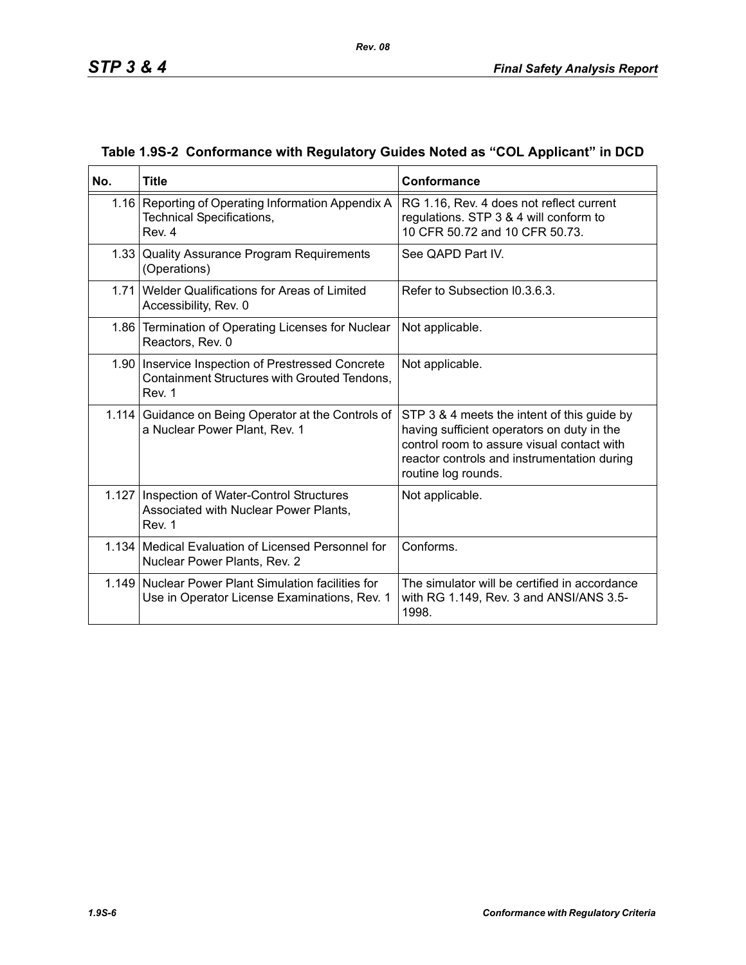| No.   | <b>Title</b>                                                                                                  | Conformance                                                                                                                                                                                                   |  |
|-------|---------------------------------------------------------------------------------------------------------------|---------------------------------------------------------------------------------------------------------------------------------------------------------------------------------------------------------------|--|
|       | 1.16   Reporting of Operating Information Appendix A<br>Technical Specifications,<br>Rev. 4                   | RG 1.16, Rev. 4 does not reflect current<br>regulations. STP 3 & 4 will conform to<br>10 CFR 50.72 and 10 CFR 50.73.                                                                                          |  |
|       | 1.33 Quality Assurance Program Requirements<br>(Operations)                                                   | See QAPD Part IV.                                                                                                                                                                                             |  |
|       | 1.71 Welder Qualifications for Areas of Limited<br>Accessibility, Rev. 0                                      | Refer to Subsection I0.3.6.3.                                                                                                                                                                                 |  |
|       | 1.86 Termination of Operating Licenses for Nuclear<br>Reactors, Rev. 0                                        | Not applicable.                                                                                                                                                                                               |  |
|       | 1.90   Inservice Inspection of Prestressed Concrete<br>Containment Structures with Grouted Tendons,<br>Rev. 1 | Not applicable.                                                                                                                                                                                               |  |
| 1.114 | Guidance on Being Operator at the Controls of<br>a Nuclear Power Plant, Rev. 1                                | STP 3 & 4 meets the intent of this guide by<br>having sufficient operators on duty in the<br>control room to assure visual contact with<br>reactor controls and instrumentation during<br>routine log rounds. |  |
|       | 1.127   Inspection of Water-Control Structures<br>Associated with Nuclear Power Plants,<br>Rev. 1             | Not applicable.                                                                                                                                                                                               |  |
|       | 1.134 Medical Evaluation of Licensed Personnel for<br>Nuclear Power Plants, Rev. 2                            | Conforms.                                                                                                                                                                                                     |  |
|       | 1.149 Nuclear Power Plant Simulation facilities for<br>Use in Operator License Examinations, Rev. 1           | The simulator will be certified in accordance<br>with RG 1.149, Rev. 3 and ANSI/ANS 3.5-<br>1998.                                                                                                             |  |

### **Table 1.9S-2 Conformance with Regulatory Guides Noted as "COL Applicant" in DCD**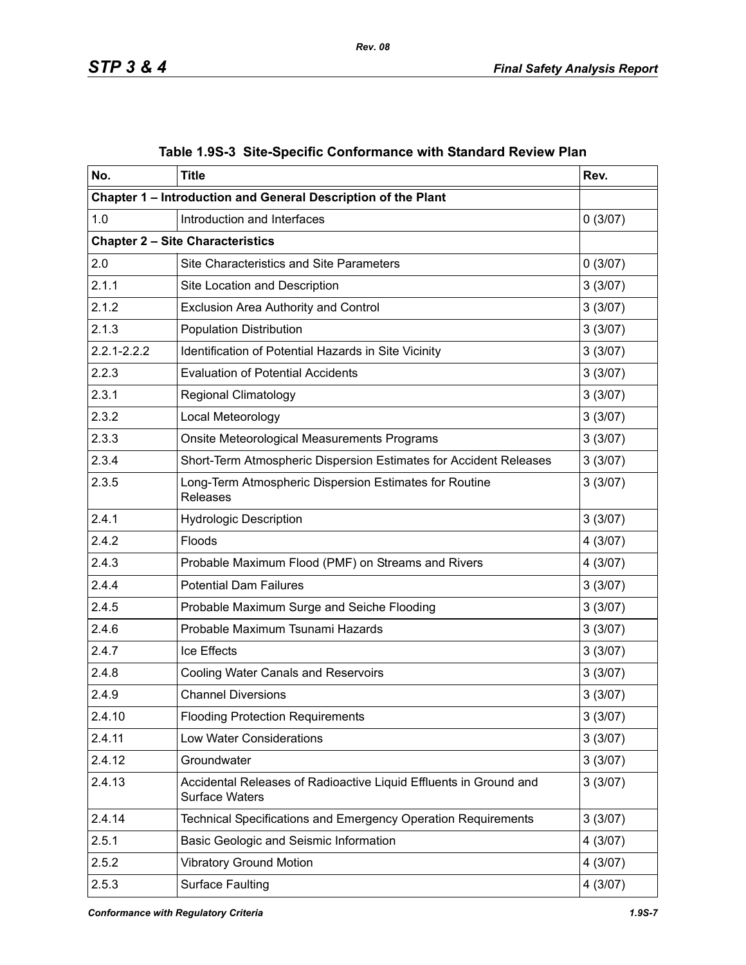| No.                                                                                                  | <b>Title</b>                                                      | Rev.     |  |  |
|------------------------------------------------------------------------------------------------------|-------------------------------------------------------------------|----------|--|--|
|                                                                                                      | Chapter 1 - Introduction and General Description of the Plant     |          |  |  |
| 1.0                                                                                                  | Introduction and Interfaces                                       | 0(3/07)  |  |  |
|                                                                                                      | <b>Chapter 2 - Site Characteristics</b>                           |          |  |  |
| 2.0                                                                                                  | <b>Site Characteristics and Site Parameters</b>                   | 0(3/07)  |  |  |
| 2.1.1                                                                                                | Site Location and Description                                     | 3(3/07)  |  |  |
| 2.1.2                                                                                                | <b>Exclusion Area Authority and Control</b>                       | 3(3/07)  |  |  |
| 2.1.3                                                                                                | <b>Population Distribution</b>                                    | 3(3/07)  |  |  |
| $2.2.1 - 2.2.2$                                                                                      | Identification of Potential Hazards in Site Vicinity              | 3(3/07)  |  |  |
| 2.2.3                                                                                                | <b>Evaluation of Potential Accidents</b>                          | 3(3/07)  |  |  |
| 2.3.1                                                                                                | <b>Regional Climatology</b>                                       | 3(3/07)  |  |  |
| 2.3.2                                                                                                | Local Meteorology                                                 | 3(3/07)  |  |  |
| 2.3.3                                                                                                | Onsite Meteorological Measurements Programs                       | 3(3/07)  |  |  |
| 2.3.4                                                                                                | Short-Term Atmospheric Dispersion Estimates for Accident Releases | 3(3/07)  |  |  |
| 2.3.5                                                                                                | 3(3/07)                                                           |          |  |  |
| 2.4.1                                                                                                | <b>Hydrologic Description</b>                                     | 3(3/07)  |  |  |
| 2.4.2                                                                                                | Floods                                                            |          |  |  |
| 2.4.3                                                                                                | Probable Maximum Flood (PMF) on Streams and Rivers                |          |  |  |
| 2.4.4                                                                                                | <b>Potential Dam Failures</b>                                     |          |  |  |
| 2.4.5                                                                                                | Probable Maximum Surge and Seiche Flooding                        | 3(3/07)  |  |  |
| 2.4.6                                                                                                | Probable Maximum Tsunami Hazards                                  |          |  |  |
| 2.4.7                                                                                                | Ice Effects                                                       | 3(3/07)  |  |  |
| 2.4.8                                                                                                | Cooling Water Canals and Reservoirs                               | 3(3/07)  |  |  |
| 2.4.9                                                                                                | <b>Channel Diversions</b>                                         | 3(3/07)  |  |  |
| 2.4.10                                                                                               | <b>Flooding Protection Requirements</b>                           |          |  |  |
| 2.4.11                                                                                               | Low Water Considerations                                          |          |  |  |
| 2.4.12                                                                                               | Groundwater                                                       |          |  |  |
| 2.4.13<br>Accidental Releases of Radioactive Liquid Effluents in Ground and<br><b>Surface Waters</b> |                                                                   |          |  |  |
| 2.4.14                                                                                               | Technical Specifications and Emergency Operation Requirements     | 3(3/07)  |  |  |
| 2.5.1                                                                                                | Basic Geologic and Seismic Information                            | 4 (3/07) |  |  |
| 2.5.2                                                                                                | <b>Vibratory Ground Motion</b>                                    | 4(3/07)  |  |  |
| 2.5.3                                                                                                | <b>Surface Faulting</b><br>4 (3/07)                               |          |  |  |

|  | Table 1.9S-3 Site-Specific Conformance with Standard Review Plan |  |  |
|--|------------------------------------------------------------------|--|--|
|  |                                                                  |  |  |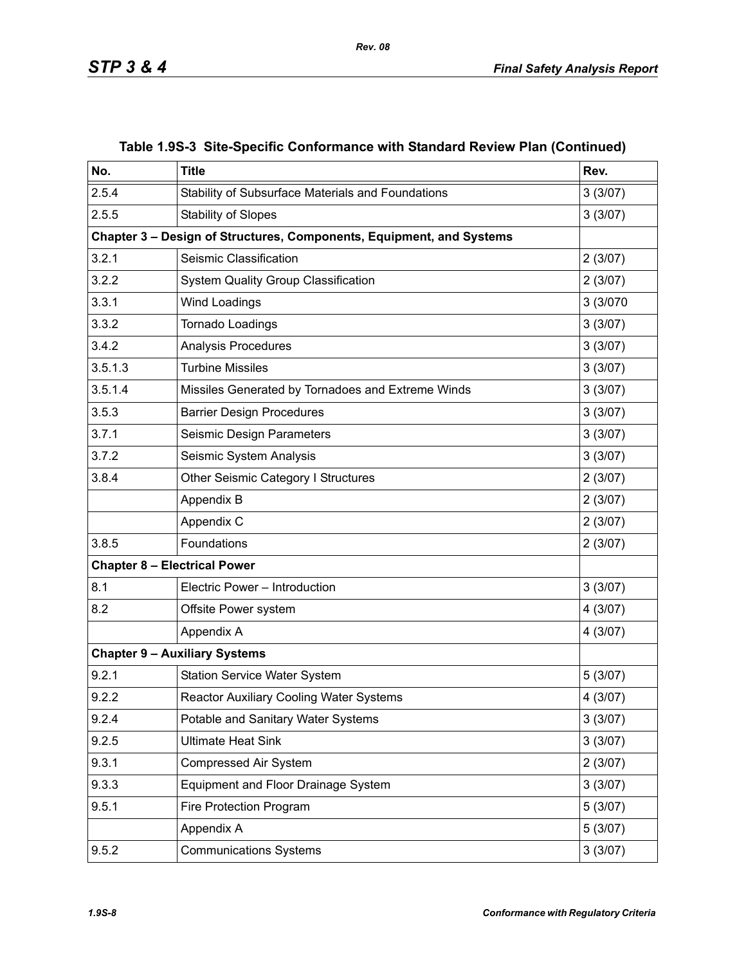| No.     | <b>Title</b>                                                         | Rev.     |  |  |
|---------|----------------------------------------------------------------------|----------|--|--|
| 2.5.4   | Stability of Subsurface Materials and Foundations                    | 3(3/07)  |  |  |
| 2.5.5   | <b>Stability of Slopes</b>                                           | 3(3/07)  |  |  |
|         | Chapter 3 - Design of Structures, Components, Equipment, and Systems |          |  |  |
| 3.2.1   | Seismic Classification                                               | 2(3/07)  |  |  |
| 3.2.2   | <b>System Quality Group Classification</b>                           | 2(3/07)  |  |  |
| 3.3.1   | Wind Loadings                                                        | 3 (3/070 |  |  |
| 3.3.2   | Tornado Loadings                                                     | 3(3/07)  |  |  |
| 3.4.2   | Analysis Procedures                                                  | 3(3/07)  |  |  |
| 3.5.1.3 | <b>Turbine Missiles</b>                                              | 3(3/07)  |  |  |
| 3.5.1.4 | Missiles Generated by Tornadoes and Extreme Winds                    | 3(3/07)  |  |  |
| 3.5.3   | <b>Barrier Design Procedures</b>                                     | 3(3/07)  |  |  |
| 3.7.1   | Seismic Design Parameters                                            | 3(3/07)  |  |  |
| 3.7.2   | Seismic System Analysis                                              | 3(3/07)  |  |  |
| 3.8.4   | Other Seismic Category I Structures                                  | 2(3/07)  |  |  |
|         | Appendix B                                                           | 2(3/07)  |  |  |
|         | Appendix C                                                           | 2(3/07)  |  |  |
| 3.8.5   | Foundations                                                          | 2(3/07)  |  |  |
|         | <b>Chapter 8 - Electrical Power</b>                                  |          |  |  |
| 8.1     | Electric Power - Introduction                                        | 3(3/07)  |  |  |
| 8.2     | Offsite Power system                                                 | 4(3/07)  |  |  |
|         | Appendix A                                                           | 4(3/07)  |  |  |
|         | <b>Chapter 9 - Auxiliary Systems</b>                                 |          |  |  |
| 9.2.1   | 5(3/07)                                                              |          |  |  |
| 9.2.2   | <b>Reactor Auxiliary Cooling Water Systems</b>                       |          |  |  |
| 9.2.4   | 3(3/07)                                                              |          |  |  |
| 9.2.5   | Potable and Sanitary Water Systems<br><b>Ultimate Heat Sink</b>      |          |  |  |
| 9.3.1   | <b>Compressed Air System</b>                                         | 2(3/07)  |  |  |
| 9.3.3   | Equipment and Floor Drainage System                                  | 3(3/07)  |  |  |
| 9.5.1   | Fire Protection Program                                              | 5(3/07)  |  |  |
|         | Appendix A                                                           | 5(3/07)  |  |  |
| 9.5.2   | <b>Communications Systems</b>                                        | 3(3/07)  |  |  |

### **Table 1.9S-3 Site-Specific Conformance with Standard Review Plan (Continued)**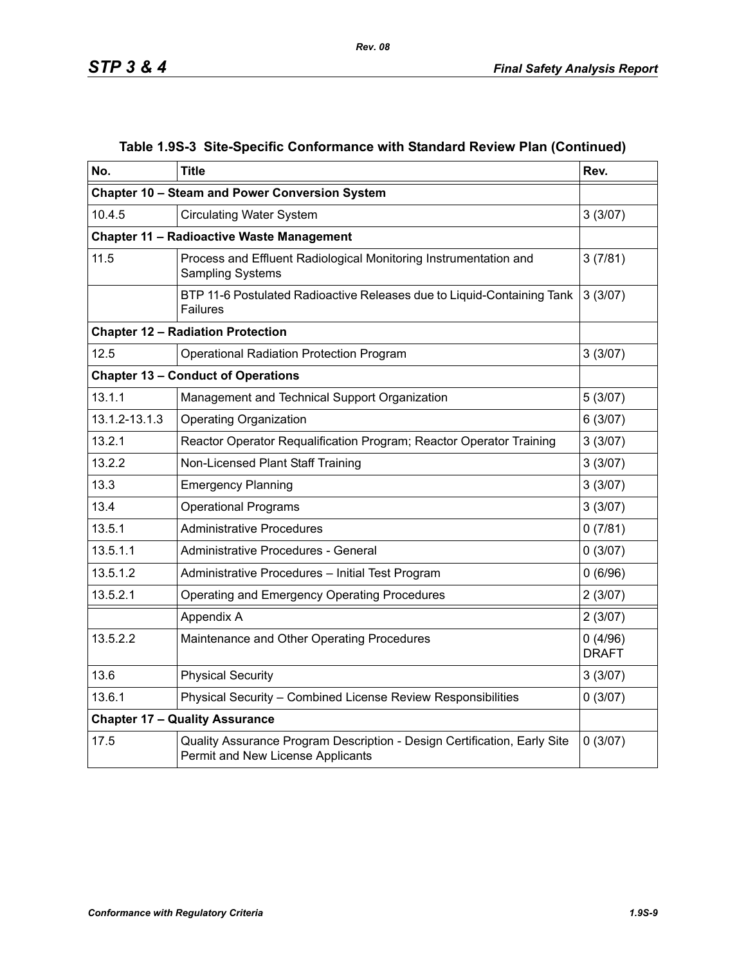| No.                                                    | <b>Title</b>                                                                                                  | Rev.                    |
|--------------------------------------------------------|---------------------------------------------------------------------------------------------------------------|-------------------------|
|                                                        | Chapter 10 - Steam and Power Conversion System                                                                |                         |
| 10.4.5                                                 | <b>Circulating Water System</b>                                                                               | 3(3/07)                 |
|                                                        | <b>Chapter 11 - Radioactive Waste Management</b>                                                              |                         |
| 11.5                                                   | Process and Effluent Radiological Monitoring Instrumentation and<br>Sampling Systems                          | 3(7/81)                 |
|                                                        | BTP 11-6 Postulated Radioactive Releases due to Liquid-Containing Tank<br><b>Failures</b>                     | 3(3/07)                 |
|                                                        | <b>Chapter 12 - Radiation Protection</b>                                                                      |                         |
| 12.5                                                   | <b>Operational Radiation Protection Program</b>                                                               | 3(3/07)                 |
|                                                        | <b>Chapter 13 - Conduct of Operations</b>                                                                     |                         |
| 13.1.1                                                 | Management and Technical Support Organization                                                                 | 5(3/07)                 |
| 13.1.2-13.1.3                                          | <b>Operating Organization</b>                                                                                 | 6(3/07)                 |
| 13.2.1                                                 | Reactor Operator Requalification Program; Reactor Operator Training                                           | 3(3/07)                 |
| 13.2.2                                                 | Non-Licensed Plant Staff Training                                                                             | 3(3/07)                 |
| 13.3                                                   | <b>Emergency Planning</b>                                                                                     | 3(3/07)                 |
| 13.4                                                   | <b>Operational Programs</b>                                                                                   | 3(3/07)                 |
| 13.5.1                                                 | <b>Administrative Procedures</b>                                                                              | 0(7/81)                 |
| 13.5.1.1                                               | Administrative Procedures - General                                                                           | 0(3/07)                 |
| 13.5.1.2                                               | Administrative Procedures - Initial Test Program                                                              | 0(6/96)                 |
| 13.5.2.1                                               | Operating and Emergency Operating Procedures                                                                  | 2(3/07)                 |
|                                                        | Appendix A                                                                                                    | 2(3/07)                 |
| 13.5.2.2<br>Maintenance and Other Operating Procedures |                                                                                                               | 0(4/96)<br><b>DRAFT</b> |
| 13.6                                                   | <b>Physical Security</b>                                                                                      | 3(3/07)                 |
| 13.6.1                                                 | Physical Security - Combined License Review Responsibilities                                                  | 0(3/07)                 |
|                                                        | <b>Chapter 17 - Quality Assurance</b>                                                                         |                         |
| 17.5                                                   | Quality Assurance Program Description - Design Certification, Early Site<br>Permit and New License Applicants | 0(3/07)                 |

# **Table 1.9S-3 Site-Specific Conformance with Standard Review Plan (Continued)**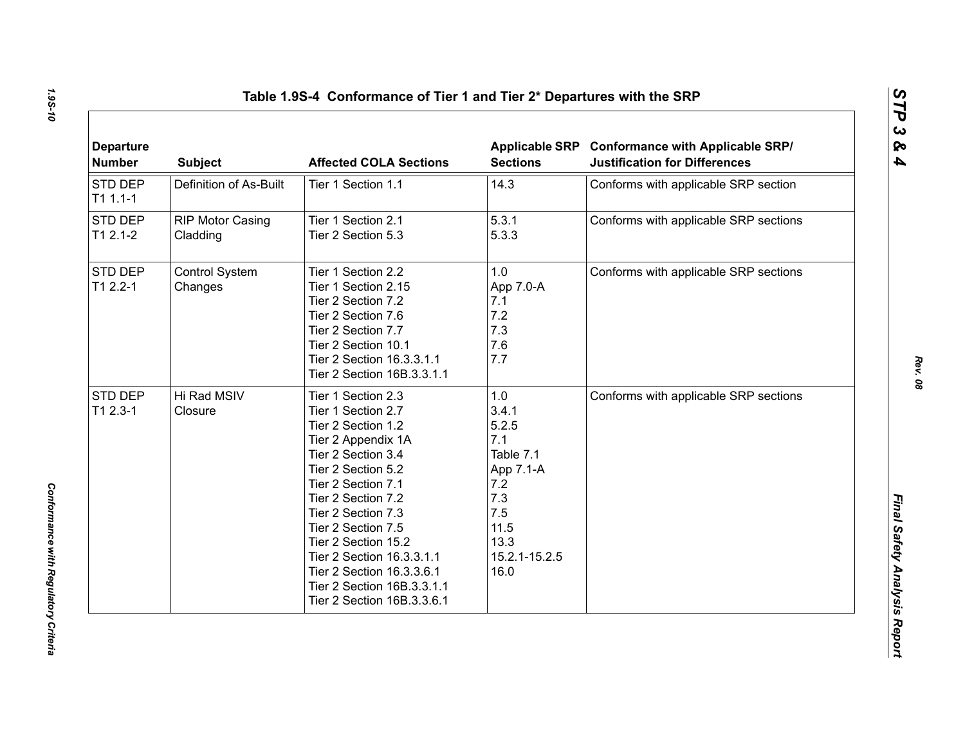| <b>Departure</b><br><b>Number</b> | <b>Subject</b>                      | <b>Affected COLA Sections</b>                                                                                                                                                                                                                                                                                                                                         | <b>Sections</b>                                                                                                      | Applicable SRP Conformance with Applicable SRP/<br><b>Justification for Differences</b> |
|-----------------------------------|-------------------------------------|-----------------------------------------------------------------------------------------------------------------------------------------------------------------------------------------------------------------------------------------------------------------------------------------------------------------------------------------------------------------------|----------------------------------------------------------------------------------------------------------------------|-----------------------------------------------------------------------------------------|
| STD DEP<br>$T11.1-1$              | Definition of As-Built              | Tier 1 Section 1.1                                                                                                                                                                                                                                                                                                                                                    | 14.3                                                                                                                 | Conforms with applicable SRP section                                                    |
| STD DEP<br>$T12.1-2$              | <b>RIP Motor Casing</b><br>Cladding | Tier 1 Section 2.1<br>Tier 2 Section 5.3                                                                                                                                                                                                                                                                                                                              | 5.3.1<br>5.3.3                                                                                                       | Conforms with applicable SRP sections                                                   |
| STD DEP<br>$T12.2 - 1$            | Control System<br>Changes           | Tier 1 Section 2.2<br>Tier 1 Section 2.15<br>Tier 2 Section 7.2<br>Tier 2 Section 7.6<br>Tier 2 Section 7.7<br>Tier 2 Section 10.1<br>Tier 2 Section 16.3.3.1.1<br>Tier 2 Section 16B.3.3.1.1                                                                                                                                                                         | 1.0<br>App 7.0-A<br>7.1<br>7.2<br>7.3<br>7.6<br>7.7                                                                  | Conforms with applicable SRP sections                                                   |
| STD DEP<br>$T12.3-1$              | Hi Rad MSIV<br>Closure              | Tier 1 Section 2.3<br>Tier 1 Section 2.7<br>Tier 2 Section 1.2<br>Tier 2 Appendix 1A<br>Tier 2 Section 3.4<br>Tier 2 Section 5.2<br>Tier 2 Section 7.1<br>Tier 2 Section 7.2<br>Tier 2 Section 7.3<br>Tier 2 Section 7.5<br>Tier 2 Section 15.2<br>Tier 2 Section 16.3.3.1.1<br>Tier 2 Section 16.3.3.6.1<br>Tier 2 Section 16B.3.3.1.1<br>Tier 2 Section 16B.3.3.6.1 | 1.0<br>3.4.1<br>5.2.5<br>7.1<br>Table 7.1<br>App 7.1-A<br>7.2<br>7.3<br>7.5<br>11.5<br>13.3<br>15.2.1-15.2.5<br>16.0 | Conforms with applicable SRP sections                                                   |

*1.9S-10*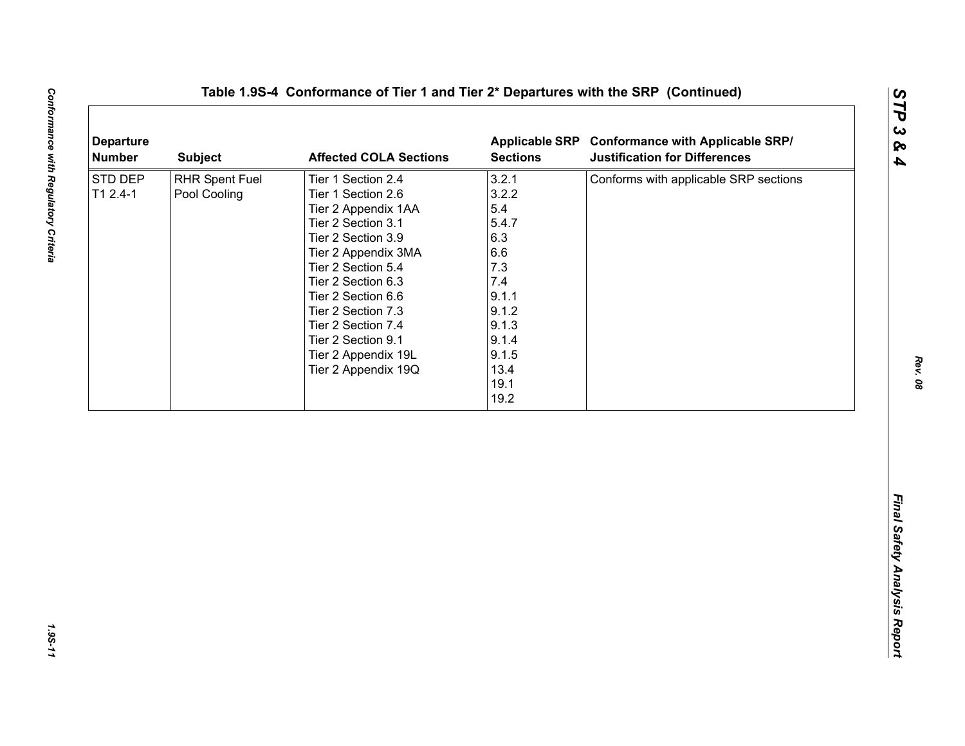| <b>Departure</b><br><b>Number</b> | <b>Subject</b>                        | <b>Affected COLA Sections</b>                                                                                                                                                                                                                                                                                        | <b>Sections</b>                                                                                                                 | Applicable SRP Conformance with Applicable SRP/<br><b>Justification for Differences</b> |
|-----------------------------------|---------------------------------------|----------------------------------------------------------------------------------------------------------------------------------------------------------------------------------------------------------------------------------------------------------------------------------------------------------------------|---------------------------------------------------------------------------------------------------------------------------------|-----------------------------------------------------------------------------------------|
| STD DEP<br>$T12.4-1$              | <b>RHR Spent Fuel</b><br>Pool Cooling | Tier 1 Section 2.4<br>Tier 1 Section 2.6<br>Tier 2 Appendix 1AA<br>Tier 2 Section 3.1<br>Tier 2 Section 3.9<br>Tier 2 Appendix 3MA<br>Tier 2 Section 5.4<br>Tier 2 Section 6.3<br>Tier 2 Section 6.6<br>Tier 2 Section 7.3<br>Tier 2 Section 7.4<br>Tier 2 Section 9.1<br>Tier 2 Appendix 19L<br>Tier 2 Appendix 19Q | 3.2.1<br>3.2.2<br>5.4<br>5.4.7<br>6.3<br>6.6<br>7.3<br>7.4<br>9.1.1<br>9.1.2<br>9.1.3<br>9.1.4<br>9.1.5<br>13.4<br>19.1<br>19.2 | Conforms with applicable SRP sections                                                   |
|                                   |                                       |                                                                                                                                                                                                                                                                                                                      |                                                                                                                                 |                                                                                         |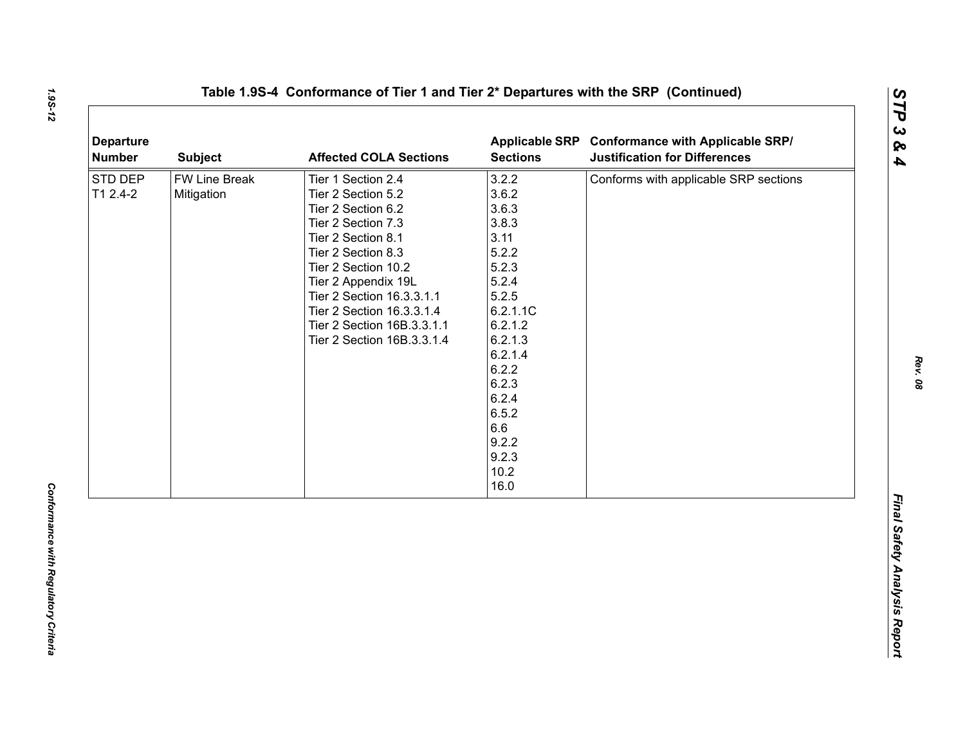| <b>Departure</b><br><b>Number</b> | <b>Subject</b>                     | <b>Affected COLA Sections</b>                                                                                                                                                                                                                                                                        | <b>Sections</b>                                                                                                                                                                                        | Applicable SRP Conformance with Applicable SRP/<br><b>Justification for Differences</b> |
|-----------------------------------|------------------------------------|------------------------------------------------------------------------------------------------------------------------------------------------------------------------------------------------------------------------------------------------------------------------------------------------------|--------------------------------------------------------------------------------------------------------------------------------------------------------------------------------------------------------|-----------------------------------------------------------------------------------------|
| STD DEP<br>T1 2.4-2               | <b>FW Line Break</b><br>Mitigation | Tier 1 Section 2.4<br>Tier 2 Section 5.2<br>Tier 2 Section 6.2<br>Tier 2 Section 7.3<br>Tier 2 Section 8.1<br>Tier 2 Section 8.3<br>Tier 2 Section 10.2<br>Tier 2 Appendix 19L<br>Tier 2 Section 16.3.3.1.1<br>Tier 2 Section 16.3.3.1.4<br>Tier 2 Section 16B.3.3.1.1<br>Tier 2 Section 16B.3.3.1.4 | 3.2.2<br>3.6.2<br>3.6.3<br>3.8.3<br>3.11<br>5.2.2<br>5.2.3<br>5.2.4<br>5.2.5<br>6.2.1.1C<br>6.2.1.2<br>6.2.1.3<br>6.2.1.4<br>6.2.2<br>6.2.3<br>6.2.4<br>6.5.2<br>6.6<br>9.2.2<br>9.2.3<br>10.2<br>16.0 | Conforms with applicable SRP sections                                                   |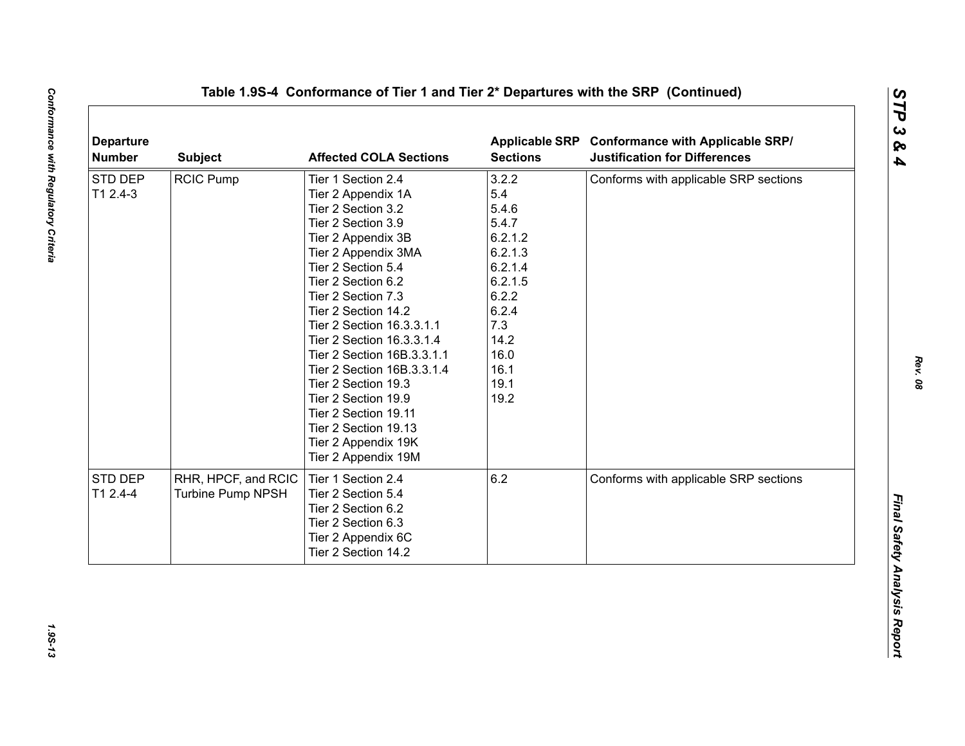| <b>RCIC Pump</b> | Tier 1 Section 2.4                       | 3.2.2                                                                                                                                                                                                                                                                                                      | Conforms with applicable SRP sections                                                                   |
|------------------|------------------------------------------|------------------------------------------------------------------------------------------------------------------------------------------------------------------------------------------------------------------------------------------------------------------------------------------------------------|---------------------------------------------------------------------------------------------------------|
|                  |                                          |                                                                                                                                                                                                                                                                                                            |                                                                                                         |
|                  | Tier 2 Appendix 1A                       | 5.4                                                                                                                                                                                                                                                                                                        |                                                                                                         |
|                  | Tier 2 Section 3.2                       | 5.4.6                                                                                                                                                                                                                                                                                                      |                                                                                                         |
|                  | Tier 2 Section 3.9                       | 5.4.7                                                                                                                                                                                                                                                                                                      |                                                                                                         |
|                  |                                          |                                                                                                                                                                                                                                                                                                            |                                                                                                         |
|                  | Tier 2 Appendix 3MA                      |                                                                                                                                                                                                                                                                                                            |                                                                                                         |
|                  | Tier 2 Section 5.4                       |                                                                                                                                                                                                                                                                                                            |                                                                                                         |
|                  | Tier 2 Section 6.2                       |                                                                                                                                                                                                                                                                                                            |                                                                                                         |
|                  | Tier 2 Section 7.3                       |                                                                                                                                                                                                                                                                                                            |                                                                                                         |
|                  | Tier 2 Section 14.2                      | 6.2.4                                                                                                                                                                                                                                                                                                      |                                                                                                         |
|                  | Tier 2 Section 16.3.3.1.1                |                                                                                                                                                                                                                                                                                                            |                                                                                                         |
|                  | Tier 2 Section 16.3.3.1.4                |                                                                                                                                                                                                                                                                                                            |                                                                                                         |
|                  | Tier 2 Section 16B.3.3.1.1               |                                                                                                                                                                                                                                                                                                            |                                                                                                         |
|                  |                                          |                                                                                                                                                                                                                                                                                                            |                                                                                                         |
|                  |                                          |                                                                                                                                                                                                                                                                                                            |                                                                                                         |
|                  |                                          |                                                                                                                                                                                                                                                                                                            |                                                                                                         |
|                  |                                          |                                                                                                                                                                                                                                                                                                            |                                                                                                         |
|                  |                                          |                                                                                                                                                                                                                                                                                                            |                                                                                                         |
|                  |                                          |                                                                                                                                                                                                                                                                                                            |                                                                                                         |
|                  |                                          |                                                                                                                                                                                                                                                                                                            |                                                                                                         |
|                  |                                          |                                                                                                                                                                                                                                                                                                            | Conforms with applicable SRP sections                                                                   |
|                  |                                          |                                                                                                                                                                                                                                                                                                            |                                                                                                         |
|                  |                                          |                                                                                                                                                                                                                                                                                                            |                                                                                                         |
|                  |                                          |                                                                                                                                                                                                                                                                                                            |                                                                                                         |
|                  |                                          |                                                                                                                                                                                                                                                                                                            |                                                                                                         |
|                  | Tier 2 Section 14.2                      |                                                                                                                                                                                                                                                                                                            |                                                                                                         |
|                  | RHR, HPCF, and RCIC<br>Turbine Pump NPSH | Tier 2 Appendix 3B<br>Tier 2 Section 16B.3.3.1.4<br>Tier 2 Section 19.3<br>Tier 2 Section 19.9<br>Tier 2 Section 19.11<br>Tier 2 Section 19.13<br>Tier 2 Appendix 19K<br>Tier 2 Appendix 19M<br>Tier 1 Section 2.4<br>Tier 2 Section 5.4<br>Tier 2 Section 6.2<br>Tier 2 Section 6.3<br>Tier 2 Appendix 6C | 6.2.1.2<br>6.2.1.3<br>6.2.1.4<br>6.2.1.5<br>6.2.2<br>7.3<br>14.2<br>16.0<br>16.1<br>19.1<br>19.2<br>6.2 |

1.95-13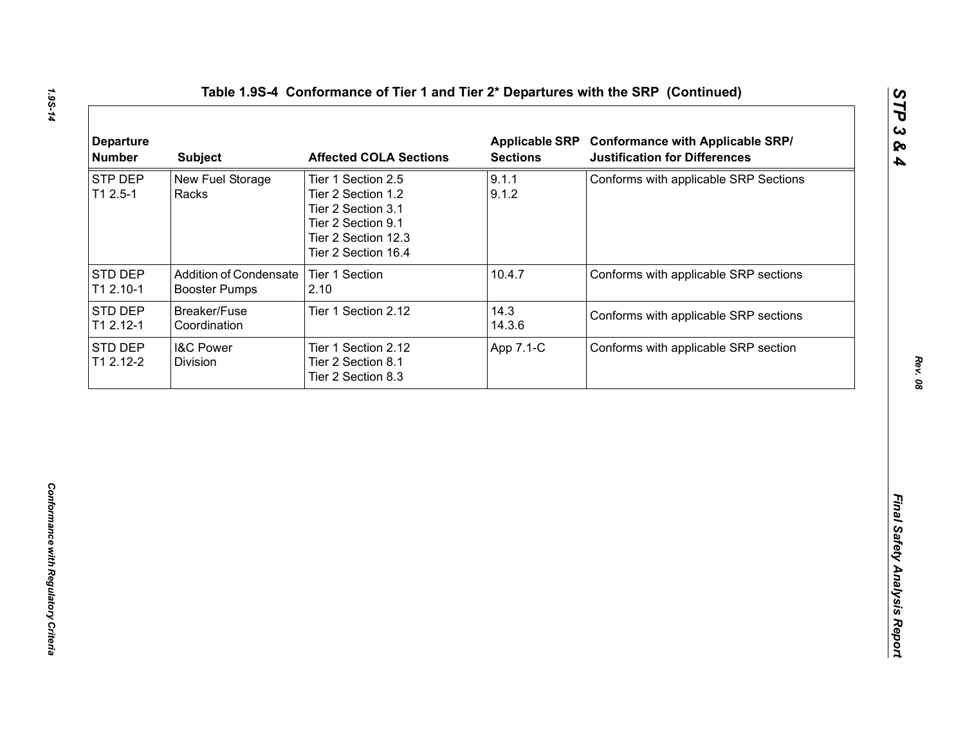| 9.1.1<br>STP DEP<br>New Fuel Storage<br>Conforms with applicable SRP Sections<br>Tier 1 Section 2.5<br>$T12.5-1$<br>9.1.2<br>Racks<br>Tier 2 Section 1.2<br>Tier 2 Section 3.1<br>Tier 2 Section 9.1<br>Tier 2 Section 12.3<br>Tier 2 Section 16.4<br><b>Addition of Condensate</b><br>Tier 1 Section<br>10.4.7<br>Conforms with applicable SRP sections<br><b>Booster Pumps</b><br>2.10<br>14.3<br>Breaker/Fuse<br>Tier 1 Section 2.12<br>Conforms with applicable SRP sections<br>14.3.6<br>Coordination |
|------------------------------------------------------------------------------------------------------------------------------------------------------------------------------------------------------------------------------------------------------------------------------------------------------------------------------------------------------------------------------------------------------------------------------------------------------------------------------------------------------------|
| <b>STD DEP</b><br>T1 2.10-1<br>STD DEP<br>T1 2.12-1                                                                                                                                                                                                                                                                                                                                                                                                                                                        |
|                                                                                                                                                                                                                                                                                                                                                                                                                                                                                                            |
|                                                                                                                                                                                                                                                                                                                                                                                                                                                                                                            |
| STD DEP<br><b>I&amp;C Power</b><br>Conforms with applicable SRP section<br>Tier 1 Section 2.12<br>App 7.1-C<br>T1 2.12-2<br>Division<br>Tier 2 Section 8.1<br>Tier 2 Section 8.3                                                                                                                                                                                                                                                                                                                           |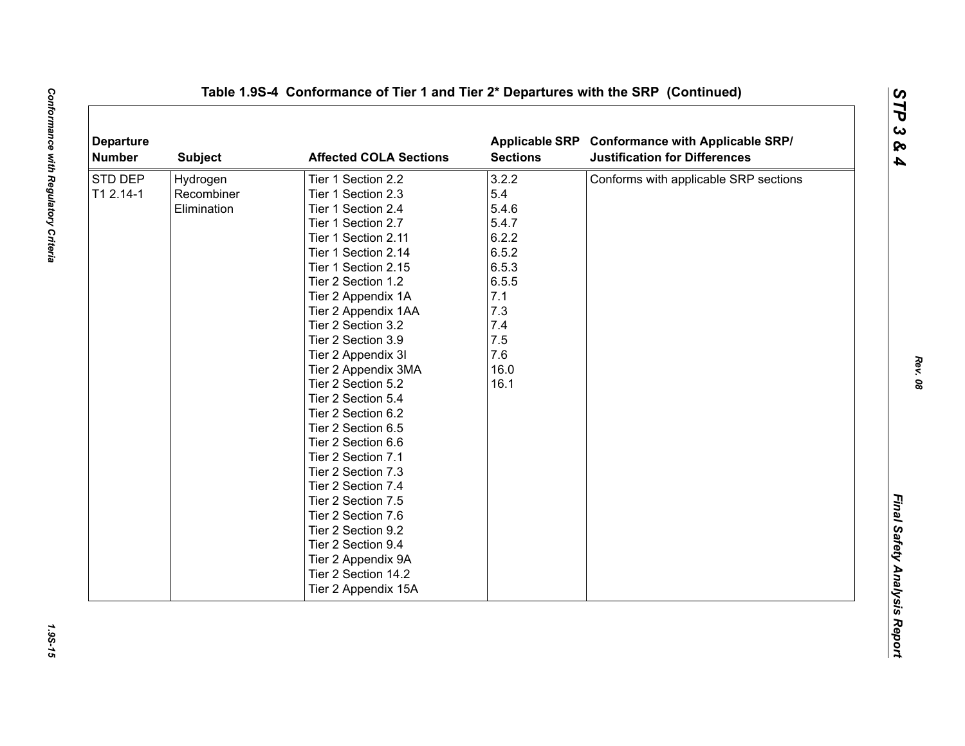| <b>Departure</b><br><b>Number</b> | <b>Subject</b> | <b>Affected COLA Sections</b> | <b>Sections</b> | Applicable SRP Conformance with Applicable SRP/<br><b>Justification for Differences</b> |
|-----------------------------------|----------------|-------------------------------|-----------------|-----------------------------------------------------------------------------------------|
| <b>STD DEP</b>                    | Hydrogen       | Tier 1 Section 2.2            | 3.2.2           | Conforms with applicable SRP sections                                                   |
| T1 2.14-1                         | Recombiner     | Tier 1 Section 2.3            | 5.4             |                                                                                         |
|                                   | Elimination    | Tier 1 Section 2.4            | 5.4.6           |                                                                                         |
|                                   |                | Tier 1 Section 2.7            | 5.4.7           |                                                                                         |
|                                   |                | Tier 1 Section 2.11           | 6.2.2           |                                                                                         |
|                                   |                | Tier 1 Section 2.14           | 6.5.2           |                                                                                         |
|                                   |                | Tier 1 Section 2.15           | 6.5.3           |                                                                                         |
|                                   |                | Tier 2 Section 1.2            | 6.5.5           |                                                                                         |
|                                   |                | Tier 2 Appendix 1A            | 7.1             |                                                                                         |
|                                   |                | Tier 2 Appendix 1AA           | 7.3             |                                                                                         |
|                                   |                | Tier 2 Section 3.2            | 7.4             |                                                                                         |
|                                   |                | Tier 2 Section 3.9            | 7.5             |                                                                                         |
|                                   |                | Tier 2 Appendix 3I            | 7.6             |                                                                                         |
|                                   |                | Tier 2 Appendix 3MA           | 16.0            |                                                                                         |
|                                   |                | Tier 2 Section 5.2            | 16.1            |                                                                                         |
|                                   |                | Tier 2 Section 5.4            |                 |                                                                                         |
|                                   |                | Tier 2 Section 6.2            |                 |                                                                                         |
|                                   |                | Tier 2 Section 6.5            |                 |                                                                                         |
|                                   |                | Tier 2 Section 6.6            |                 |                                                                                         |
|                                   |                | Tier 2 Section 7.1            |                 |                                                                                         |
|                                   |                | Tier 2 Section 7.3            |                 |                                                                                         |
|                                   |                | Tier 2 Section 7.4            |                 |                                                                                         |
|                                   |                | Tier 2 Section 7.5            |                 |                                                                                         |
|                                   |                | Tier 2 Section 7.6            |                 |                                                                                         |
|                                   |                | Tier 2 Section 9.2            |                 |                                                                                         |
|                                   |                | Tier 2 Section 9.4            |                 |                                                                                         |
|                                   |                | Tier 2 Appendix 9A            |                 |                                                                                         |
|                                   |                | Tier 2 Section 14.2           |                 |                                                                                         |
|                                   |                | Tier 2 Appendix 15A           |                 |                                                                                         |

*Rev. 08*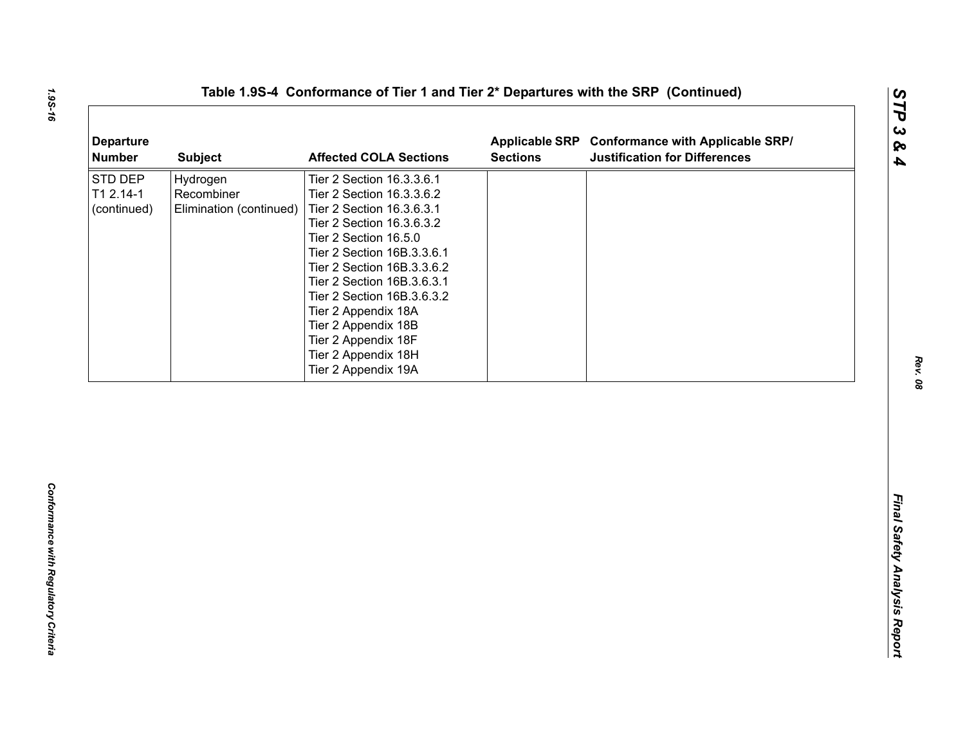| <b>Departure</b><br><b>Number</b>   | <b>Subject</b>                                    | <b>Affected COLA Sections</b>                                                                                                                                                                                                                                                                                                                                                        | <b>Sections</b> | Applicable SRP Conformance with Applicable SRP/<br><b>Justification for Differences</b> |
|-------------------------------------|---------------------------------------------------|--------------------------------------------------------------------------------------------------------------------------------------------------------------------------------------------------------------------------------------------------------------------------------------------------------------------------------------------------------------------------------------|-----------------|-----------------------------------------------------------------------------------------|
| STD DEP<br>T1 2.14-1<br>(continued) | Hydrogen<br>Recombiner<br>Elimination (continued) | Tier 2 Section 16.3.3.6.1<br>Tier 2 Section 16.3.3.6.2<br>Tier 2 Section 16.3.6.3.1<br>Tier 2 Section 16.3.6.3.2<br>Tier 2 Section 16.5.0<br>Tier 2 Section 16B.3.3.6.1<br>Tier 2 Section 16B.3.3.6.2<br>Tier 2 Section 16B.3.6.3.1<br>Tier 2 Section 16B.3.6.3.2<br>Tier 2 Appendix 18A<br>Tier 2 Appendix 18B<br>Tier 2 Appendix 18F<br>Tier 2 Appendix 18H<br>Tier 2 Appendix 19A |                 |                                                                                         |
|                                     |                                                   |                                                                                                                                                                                                                                                                                                                                                                                      |                 |                                                                                         |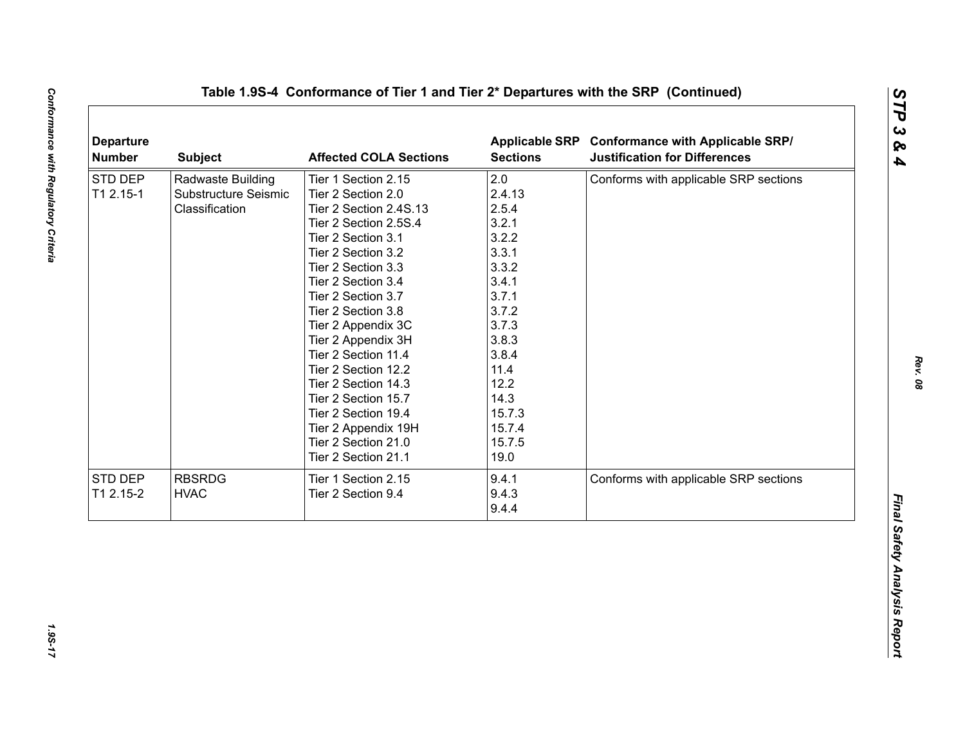|           | <b>Subject</b>       | <b>Affected COLA Sections</b> | <b>Sections</b> | Applicable SRP Conformance with Applicable SRP/<br><b>Justification for Differences</b> |
|-----------|----------------------|-------------------------------|-----------------|-----------------------------------------------------------------------------------------|
| STD DEP   | Radwaste Building    | Tier 1 Section 2.15           | 2.0             | Conforms with applicable SRP sections                                                   |
| T1 2.15-1 | Substructure Seismic | Tier 2 Section 2.0            | 2.4.13          |                                                                                         |
|           | Classification       | Tier 2 Section 2.4S.13        | 2.5.4           |                                                                                         |
|           |                      | Tier 2 Section 2.5S.4         | 3.2.1           |                                                                                         |
|           |                      | Tier 2 Section 3.1            | 3.2.2           |                                                                                         |
|           |                      | Tier 2 Section 3.2            | 3.3.1           |                                                                                         |
|           |                      | Tier 2 Section 3.3            | 3.3.2           |                                                                                         |
|           |                      | Tier 2 Section 3.4            | 3.4.1           |                                                                                         |
|           |                      | Tier 2 Section 3.7            | 3.7.1           |                                                                                         |
|           |                      | Tier 2 Section 3.8            | 3.7.2           |                                                                                         |
|           |                      | Tier 2 Appendix 3C            | 3.7.3           |                                                                                         |
|           |                      | Tier 2 Appendix 3H            | 3.8.3           |                                                                                         |
|           |                      | Tier 2 Section 11.4           | 3.8.4           |                                                                                         |
|           |                      | Tier 2 Section 12.2           | 11.4            |                                                                                         |
|           |                      | Tier 2 Section 14.3           | 12.2            |                                                                                         |
|           |                      | Tier 2 Section 15.7           | 14.3            |                                                                                         |
|           |                      | Tier 2 Section 19.4           | 15.7.3          |                                                                                         |
|           |                      | Tier 2 Appendix 19H           | 15.7.4          |                                                                                         |
|           |                      | Tier 2 Section 21.0           | 15.7.5          |                                                                                         |
|           |                      | Tier 2 Section 21.1           | 19.0            |                                                                                         |
| STD DEP   | <b>RBSRDG</b>        | Tier 1 Section 2.15           | 9.4.1           | Conforms with applicable SRP sections                                                   |
| T1 2.15-2 | <b>HVAC</b>          | Tier 2 Section 9.4            | 9.4.3           |                                                                                         |
|           |                      |                               | 9.4.4           |                                                                                         |

1.95-17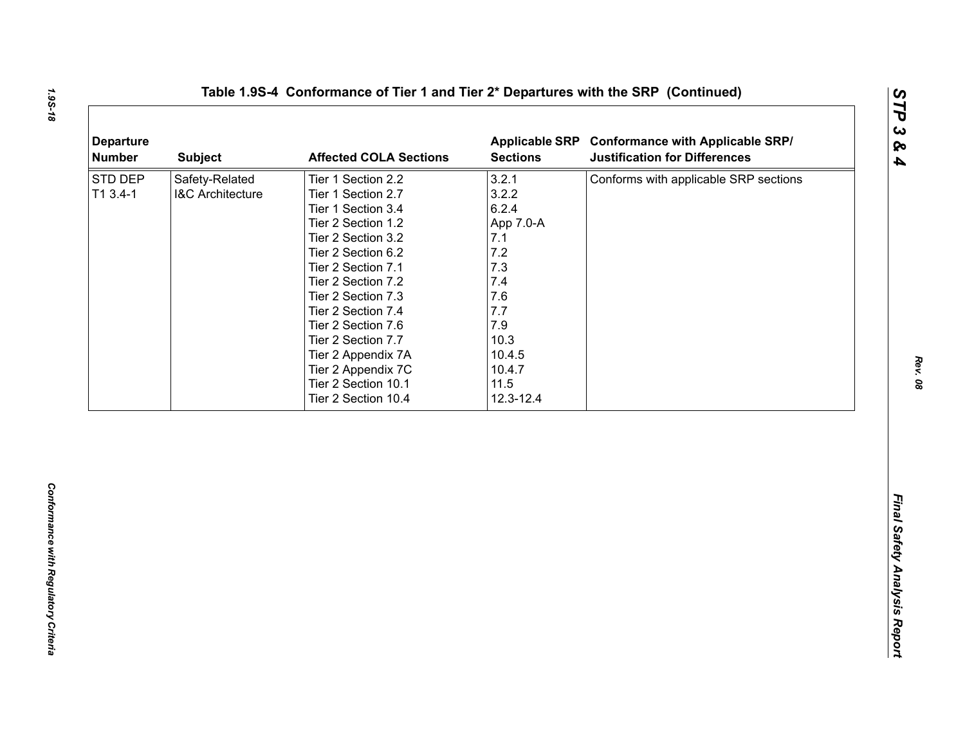| 3.2.1<br>Safety-Related<br>Tier 1 Section 2.2<br>Conforms with applicable SRP sections<br>3.2.2<br>$T13.4-1$<br><b>I&amp;C Architecture</b><br>Tier 1 Section 2.7<br>6.2.4<br>Tier 1 Section 3.4<br>Tier 2 Section 1.2<br>App 7.0-A<br>7.1<br>Tier 2 Section 3.2<br>7.2<br>Tier 2 Section 6.2<br>7.3<br>Tier 2 Section 7.1<br>7.4<br>Tier 2 Section 7.2<br>7.6<br>Tier 2 Section 7.3<br>7.7<br>Tier 2 Section 7.4<br>7.9<br>Tier 2 Section 7.6<br>10.3<br>Tier 2 Section 7.7<br>10.4.5<br>Tier 2 Appendix 7A<br>Tier 2 Appendix 7C<br>10.4.7<br>11.5<br>Tier 2 Section 10.1<br>Tier 2 Section 10.4<br>12.3-12.4 | <b>Departure</b><br><b>Number</b> | <b>Subject</b> | <b>Affected COLA Sections</b> | <b>Sections</b> | Applicable SRP Conformance with Applicable SRP/<br><b>Justification for Differences</b> |
|-----------------------------------------------------------------------------------------------------------------------------------------------------------------------------------------------------------------------------------------------------------------------------------------------------------------------------------------------------------------------------------------------------------------------------------------------------------------------------------------------------------------------------------------------------------------------------------------------------------------|-----------------------------------|----------------|-------------------------------|-----------------|-----------------------------------------------------------------------------------------|
|                                                                                                                                                                                                                                                                                                                                                                                                                                                                                                                                                                                                                 | STD DEP                           |                |                               |                 |                                                                                         |
|                                                                                                                                                                                                                                                                                                                                                                                                                                                                                                                                                                                                                 |                                   |                |                               |                 |                                                                                         |
|                                                                                                                                                                                                                                                                                                                                                                                                                                                                                                                                                                                                                 |                                   |                |                               |                 |                                                                                         |
|                                                                                                                                                                                                                                                                                                                                                                                                                                                                                                                                                                                                                 |                                   |                |                               |                 |                                                                                         |
|                                                                                                                                                                                                                                                                                                                                                                                                                                                                                                                                                                                                                 |                                   |                |                               |                 |                                                                                         |
|                                                                                                                                                                                                                                                                                                                                                                                                                                                                                                                                                                                                                 |                                   |                |                               |                 |                                                                                         |
|                                                                                                                                                                                                                                                                                                                                                                                                                                                                                                                                                                                                                 |                                   |                |                               |                 |                                                                                         |
|                                                                                                                                                                                                                                                                                                                                                                                                                                                                                                                                                                                                                 |                                   |                |                               |                 |                                                                                         |
|                                                                                                                                                                                                                                                                                                                                                                                                                                                                                                                                                                                                                 |                                   |                |                               |                 |                                                                                         |
|                                                                                                                                                                                                                                                                                                                                                                                                                                                                                                                                                                                                                 |                                   |                |                               |                 |                                                                                         |
|                                                                                                                                                                                                                                                                                                                                                                                                                                                                                                                                                                                                                 |                                   |                |                               |                 |                                                                                         |
|                                                                                                                                                                                                                                                                                                                                                                                                                                                                                                                                                                                                                 |                                   |                |                               |                 |                                                                                         |
|                                                                                                                                                                                                                                                                                                                                                                                                                                                                                                                                                                                                                 |                                   |                |                               |                 |                                                                                         |
|                                                                                                                                                                                                                                                                                                                                                                                                                                                                                                                                                                                                                 |                                   |                |                               |                 |                                                                                         |
|                                                                                                                                                                                                                                                                                                                                                                                                                                                                                                                                                                                                                 |                                   |                |                               |                 |                                                                                         |
|                                                                                                                                                                                                                                                                                                                                                                                                                                                                                                                                                                                                                 |                                   |                |                               |                 |                                                                                         |
|                                                                                                                                                                                                                                                                                                                                                                                                                                                                                                                                                                                                                 |                                   |                |                               |                 |                                                                                         |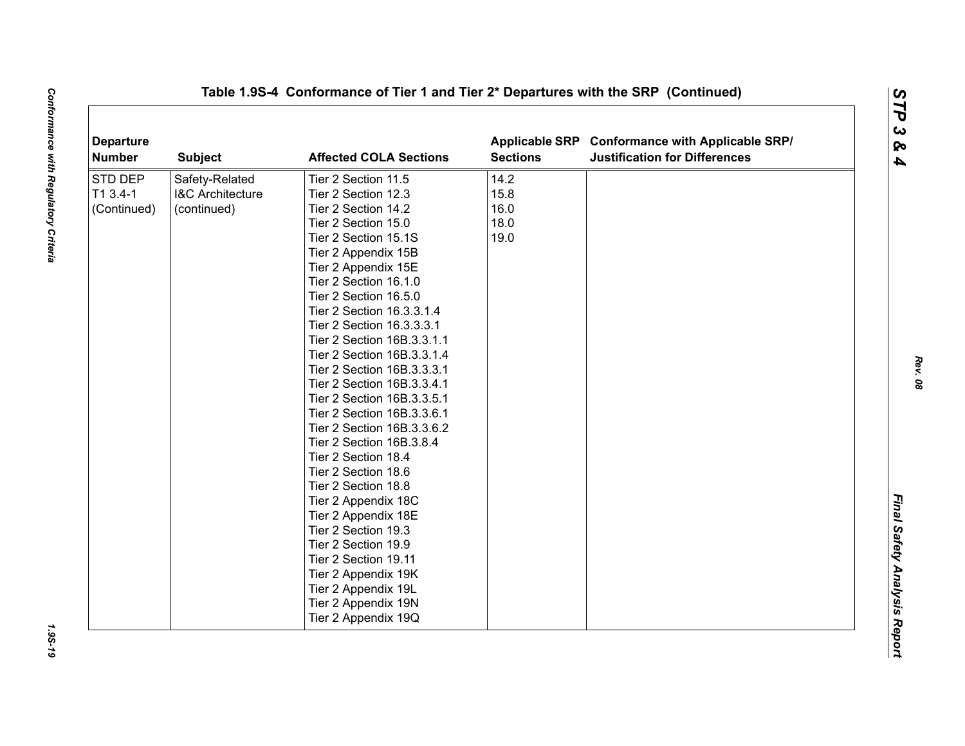| <b>Departure</b><br><b>Number</b> | <b>Subject</b>              | <b>Affected COLA Sections</b> | <b>Sections</b> | Applicable SRP Conformance with Applicable SRP/<br><b>Justification for Differences</b> |  |
|-----------------------------------|-----------------------------|-------------------------------|-----------------|-----------------------------------------------------------------------------------------|--|
| STD DEP                           | Safety-Related              | Tier 2 Section 11.5           | 14.2            |                                                                                         |  |
| T1 3.4-1                          | <b>I&amp;C Architecture</b> | Tier 2 Section 12.3           | 15.8            |                                                                                         |  |
| (Continued)                       | (continued)                 | Tier 2 Section 14.2           | 16.0            |                                                                                         |  |
|                                   |                             | Tier 2 Section 15.0           | 18.0            |                                                                                         |  |
|                                   |                             | Tier 2 Section 15.1S          | 19.0            |                                                                                         |  |
|                                   |                             | Tier 2 Appendix 15B           |                 |                                                                                         |  |
|                                   |                             | Tier 2 Appendix 15E           |                 |                                                                                         |  |
|                                   |                             | Tier 2 Section 16.1.0         |                 |                                                                                         |  |
|                                   |                             | Tier 2 Section 16.5.0         |                 |                                                                                         |  |
|                                   |                             | Tier 2 Section 16.3.3.1.4     |                 |                                                                                         |  |
|                                   |                             | Tier 2 Section 16.3.3.3.1     |                 |                                                                                         |  |
|                                   |                             | Tier 2 Section 16B.3.3.1.1    |                 |                                                                                         |  |
|                                   |                             | Tier 2 Section 16B.3.3.1.4    |                 |                                                                                         |  |
|                                   |                             | Tier 2 Section 16B.3.3.3.1    |                 |                                                                                         |  |
|                                   |                             | Tier 2 Section 16B.3.3.4.1    |                 |                                                                                         |  |
|                                   |                             | Tier 2 Section 16B.3.3.5.1    |                 |                                                                                         |  |
|                                   |                             | Tier 2 Section 16B.3.3.6.1    |                 |                                                                                         |  |
|                                   |                             | Tier 2 Section 16B.3.3.6.2    |                 |                                                                                         |  |
|                                   |                             | Tier 2 Section 16B.3.8.4      |                 |                                                                                         |  |
|                                   |                             | Tier 2 Section 18.4           |                 |                                                                                         |  |
|                                   |                             | Tier 2 Section 18.6           |                 |                                                                                         |  |
|                                   |                             | Tier 2 Section 18.8           |                 |                                                                                         |  |
|                                   |                             | Tier 2 Appendix 18C           |                 |                                                                                         |  |
|                                   |                             | Tier 2 Appendix 18E           |                 |                                                                                         |  |
|                                   |                             | Tier 2 Section 19.3           |                 |                                                                                         |  |
|                                   |                             | Tier 2 Section 19.9           |                 |                                                                                         |  |
|                                   |                             | Tier 2 Section 19.11          |                 |                                                                                         |  |
|                                   |                             | Tier 2 Appendix 19K           |                 |                                                                                         |  |
|                                   |                             | Tier 2 Appendix 19L           |                 |                                                                                         |  |
|                                   |                             | Tier 2 Appendix 19N           |                 |                                                                                         |  |
|                                   |                             | Tier 2 Appendix 19Q           |                 |                                                                                         |  |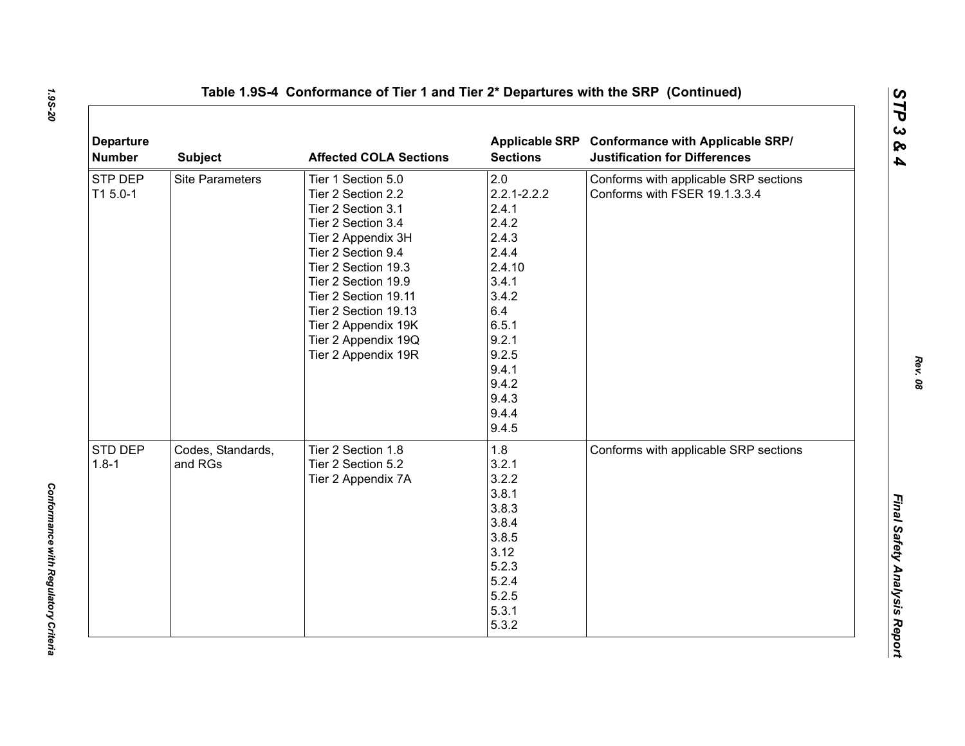| <b>Departure</b><br><b>Number</b> | <b>Subject</b>               | <b>Affected COLA Sections</b>                                                                                                                                                                                                                                                                       | <b>Sections</b>                                                                                                                                                       | Applicable SRP Conformance with Applicable SRP/<br><b>Justification for Differences</b> |
|-----------------------------------|------------------------------|-----------------------------------------------------------------------------------------------------------------------------------------------------------------------------------------------------------------------------------------------------------------------------------------------------|-----------------------------------------------------------------------------------------------------------------------------------------------------------------------|-----------------------------------------------------------------------------------------|
| STP DEP<br>T1 5.0-1               | <b>Site Parameters</b>       | Tier 1 Section 5.0<br>Tier 2 Section 2.2<br>Tier 2 Section 3.1<br>Tier 2 Section 3.4<br>Tier 2 Appendix 3H<br>Tier 2 Section 9.4<br>Tier 2 Section 19.3<br>Tier 2 Section 19.9<br>Tier 2 Section 19.11<br>Tier 2 Section 19.13<br>Tier 2 Appendix 19K<br>Tier 2 Appendix 19Q<br>Tier 2 Appendix 19R | 2.0<br>$2.2.1 - 2.2.2$<br>2.4.1<br>2.4.2<br>2.4.3<br>2.4.4<br>2.4.10<br>3.4.1<br>3.4.2<br>6.4<br>6.5.1<br>9.2.1<br>9.2.5<br>9.4.1<br>9.4.2<br>9.4.3<br>9.4.4<br>9.4.5 | Conforms with applicable SRP sections<br>Conforms with FSER 19.1.3.3.4                  |
| STD DEP<br>$1.8 - 1$              | Codes, Standards,<br>and RGs | Tier 2 Section 1.8<br>Tier 2 Section 5.2<br>Tier 2 Appendix 7A                                                                                                                                                                                                                                      | 1.8<br>3.2.1<br>3.2.2<br>3.8.1<br>3.8.3<br>3.8.4<br>3.8.5<br>3.12<br>5.2.3<br>5.2.4<br>5.2.5<br>5.3.1<br>5.3.2                                                        | Conforms with applicable SRP sections                                                   |

*Rev. 08*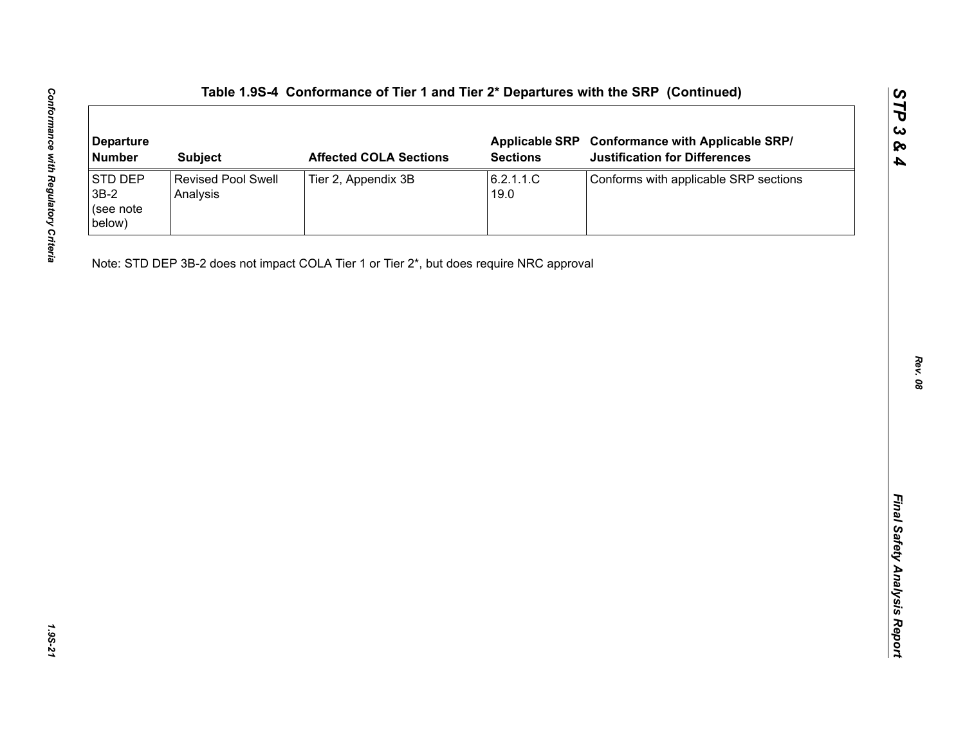| <b>Departure</b><br><b>Number</b>        | <b>Subject</b>                        | <b>Affected COLA Sections</b>                                                            | <b>Sections</b>   | Applicable SRP Conformance with Applicable SRP/<br><b>Justification for Differences</b> |
|------------------------------------------|---------------------------------------|------------------------------------------------------------------------------------------|-------------------|-----------------------------------------------------------------------------------------|
| STD DEP<br>$3B-2$<br>(see note<br>below) | <b>Revised Pool Swell</b><br>Analysis | Tier 2, Appendix 3B                                                                      | 6.2.1.1.C<br>19.0 | Conforms with applicable SRP sections                                                   |
|                                          |                                       | Note: STD DEP 3B-2 does not impact COLA Tier 1 or Tier 2*, but does require NRC approval |                   |                                                                                         |
|                                          |                                       |                                                                                          |                   |                                                                                         |
|                                          |                                       |                                                                                          |                   |                                                                                         |
|                                          |                                       |                                                                                          |                   |                                                                                         |
|                                          |                                       |                                                                                          |                   |                                                                                         |
|                                          |                                       |                                                                                          |                   |                                                                                         |
|                                          |                                       |                                                                                          |                   |                                                                                         |
|                                          |                                       |                                                                                          |                   |                                                                                         |
|                                          |                                       |                                                                                          |                   |                                                                                         |
|                                          |                                       |                                                                                          |                   |                                                                                         |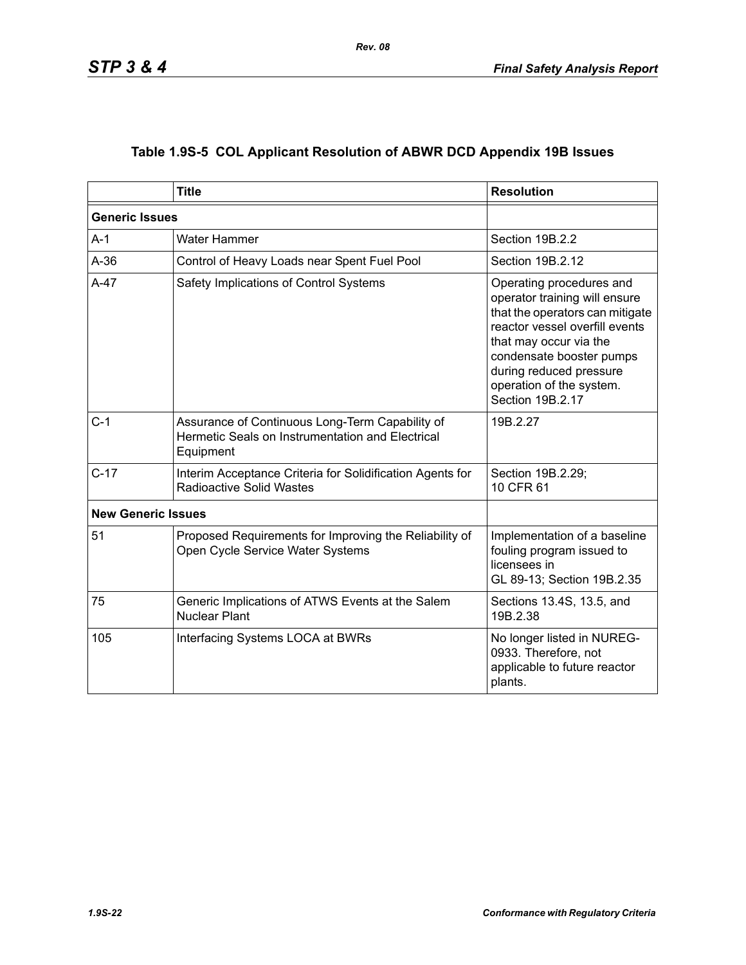|  | Table 1.9S-5 COL Applicant Resolution of ABWR DCD Appendix 19B Issues |  |  |  |  |
|--|-----------------------------------------------------------------------|--|--|--|--|
|--|-----------------------------------------------------------------------|--|--|--|--|

|                           | <b>Title</b>                                                                                                     | <b>Resolution</b>                                                                                                                                                                                                                                               |
|---------------------------|------------------------------------------------------------------------------------------------------------------|-----------------------------------------------------------------------------------------------------------------------------------------------------------------------------------------------------------------------------------------------------------------|
| <b>Generic Issues</b>     |                                                                                                                  |                                                                                                                                                                                                                                                                 |
| $A-1$                     | Water Hammer                                                                                                     | Section 19B.2.2                                                                                                                                                                                                                                                 |
| $A-36$                    | Control of Heavy Loads near Spent Fuel Pool                                                                      | Section 19B.2.12                                                                                                                                                                                                                                                |
| $A-47$                    | Safety Implications of Control Systems                                                                           | Operating procedures and<br>operator training will ensure<br>that the operators can mitigate<br>reactor vessel overfill events<br>that may occur via the<br>condensate booster pumps<br>during reduced pressure<br>operation of the system.<br>Section 19B.2.17 |
| $C-1$                     | Assurance of Continuous Long-Term Capability of<br>Hermetic Seals on Instrumentation and Electrical<br>Equipment | 19B.2.27                                                                                                                                                                                                                                                        |
| $C-17$                    | Interim Acceptance Criteria for Solidification Agents for<br><b>Radioactive Solid Wastes</b>                     | Section 19B.2.29;<br>10 CFR 61                                                                                                                                                                                                                                  |
| <b>New Generic Issues</b> |                                                                                                                  |                                                                                                                                                                                                                                                                 |
| 51                        | Proposed Requirements for Improving the Reliability of<br>Open Cycle Service Water Systems                       | Implementation of a baseline<br>fouling program issued to<br>licensees in<br>GL 89-13; Section 19B.2.35                                                                                                                                                         |
| 75                        | Generic Implications of ATWS Events at the Salem<br><b>Nuclear Plant</b>                                         | Sections 13.4S, 13.5, and<br>19B.2.38                                                                                                                                                                                                                           |
| 105                       | Interfacing Systems LOCA at BWRs                                                                                 | No longer listed in NUREG-<br>0933. Therefore, not<br>applicable to future reactor<br>plants.                                                                                                                                                                   |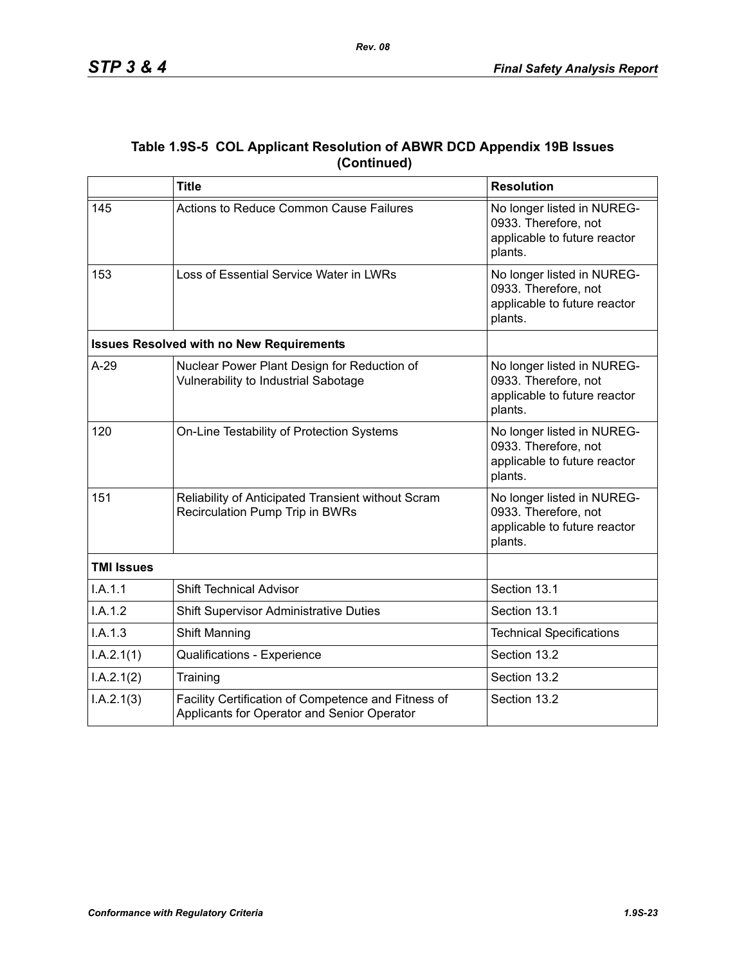|             | Table 1.9S-5 COL Applicant Resolution of ABWR DCD Appendix 19B Issues |
|-------------|-----------------------------------------------------------------------|
| (Continued) |                                                                       |

|                   | <b>Title</b>                                                                                       | <b>Resolution</b>                                                                             |
|-------------------|----------------------------------------------------------------------------------------------------|-----------------------------------------------------------------------------------------------|
| 145               | <b>Actions to Reduce Common Cause Failures</b>                                                     | No longer listed in NUREG-<br>0933. Therefore, not<br>applicable to future reactor<br>plants. |
| 153               | Loss of Essential Service Water in LWRs                                                            | No longer listed in NUREG-<br>0933. Therefore, not<br>applicable to future reactor<br>plants. |
|                   | <b>Issues Resolved with no New Requirements</b>                                                    |                                                                                               |
| $A-29$            | Nuclear Power Plant Design for Reduction of<br>Vulnerability to Industrial Sabotage                | No longer listed in NUREG-<br>0933. Therefore, not<br>applicable to future reactor<br>plants. |
| 120               | On-Line Testability of Protection Systems                                                          | No longer listed in NUREG-<br>0933. Therefore, not<br>applicable to future reactor<br>plants. |
| 151               | Reliability of Anticipated Transient without Scram<br>Recirculation Pump Trip in BWRs              | No longer listed in NUREG-<br>0933. Therefore, not<br>applicable to future reactor<br>plants. |
| <b>TMI Issues</b> |                                                                                                    |                                                                                               |
| I.A.1.1           | <b>Shift Technical Advisor</b>                                                                     | Section 13.1                                                                                  |
| I.A.1.2           | <b>Shift Supervisor Administrative Duties</b>                                                      | Section 13.1                                                                                  |
| I.A.1.3           | Shift Manning                                                                                      | <b>Technical Specifications</b>                                                               |
| I.A.2.1(1)        | Qualifications - Experience                                                                        | Section 13.2                                                                                  |
| I.A.2.1(2)        | Training                                                                                           | Section 13.2                                                                                  |
| I.A.2.1(3)        | Facility Certification of Competence and Fitness of<br>Applicants for Operator and Senior Operator | Section 13.2                                                                                  |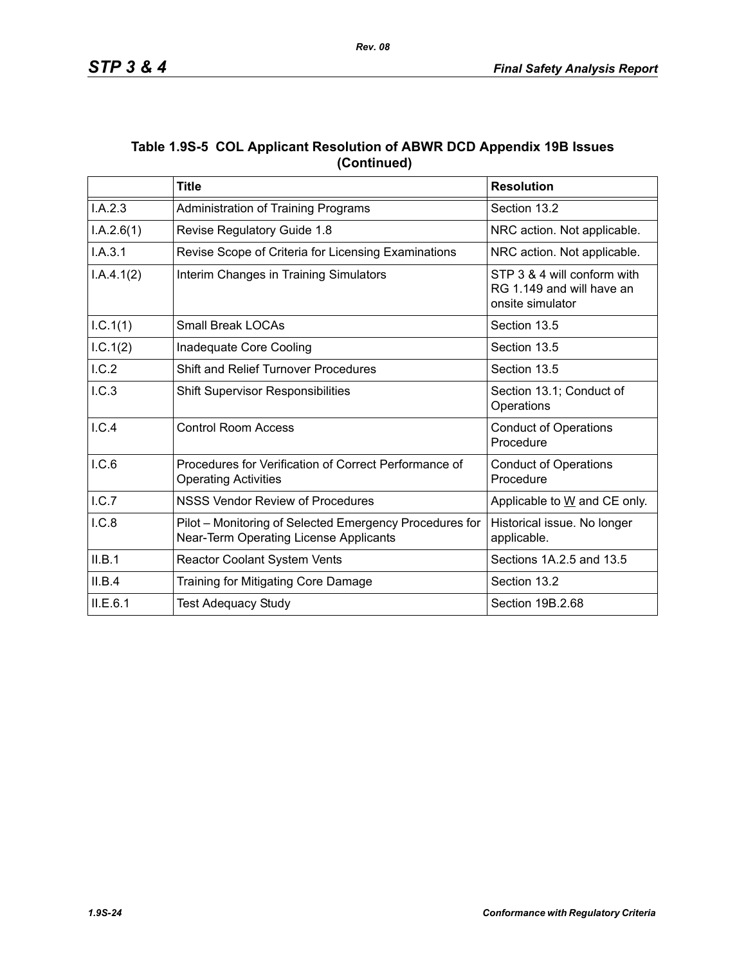|             | Table 1.9S-5 COL Applicant Resolution of ABWR DCD Appendix 19B Issues |
|-------------|-----------------------------------------------------------------------|
| (Continued) |                                                                       |

|            | <b>Title</b>                                                                                      | <b>Resolution</b>                                                            |
|------------|---------------------------------------------------------------------------------------------------|------------------------------------------------------------------------------|
| I.A.2.3    | Administration of Training Programs                                                               | Section 13.2                                                                 |
| I.A.2.6(1) | Revise Regulatory Guide 1.8                                                                       | NRC action. Not applicable.                                                  |
| I.A.3.1    | Revise Scope of Criteria for Licensing Examinations                                               | NRC action. Not applicable.                                                  |
| I.A.4.1(2) | Interim Changes in Training Simulators                                                            | STP 3 & 4 will conform with<br>RG 1.149 and will have an<br>onsite simulator |
| I.C.1(1)   | <b>Small Break LOCAs</b>                                                                          | Section 13.5                                                                 |
| 1.C.1(2)   | Inadequate Core Cooling                                                                           | Section 13.5                                                                 |
| I.C.2      | Shift and Relief Turnover Procedures                                                              | Section 13.5                                                                 |
| I.C.3      | <b>Shift Supervisor Responsibilities</b>                                                          | Section 13.1; Conduct of<br>Operations                                       |
| I.C.4      | <b>Control Room Access</b>                                                                        | <b>Conduct of Operations</b><br>Procedure                                    |
| I.C.6      | Procedures for Verification of Correct Performance of<br><b>Operating Activities</b>              | <b>Conduct of Operations</b><br>Procedure                                    |
| I.C.7      | <b>NSSS Vendor Review of Procedures</b>                                                           | Applicable to W and CE only.                                                 |
| I.C.8      | Pilot - Monitoring of Selected Emergency Procedures for<br>Near-Term Operating License Applicants | Historical issue. No longer<br>applicable.                                   |
| II.B.1     | Reactor Coolant System Vents                                                                      | Sections 1A.2.5 and 13.5                                                     |
| II.B.4     | Training for Mitigating Core Damage                                                               | Section 13.2                                                                 |
| ILE.6.1    | <b>Test Adequacy Study</b>                                                                        | Section 19B.2.68                                                             |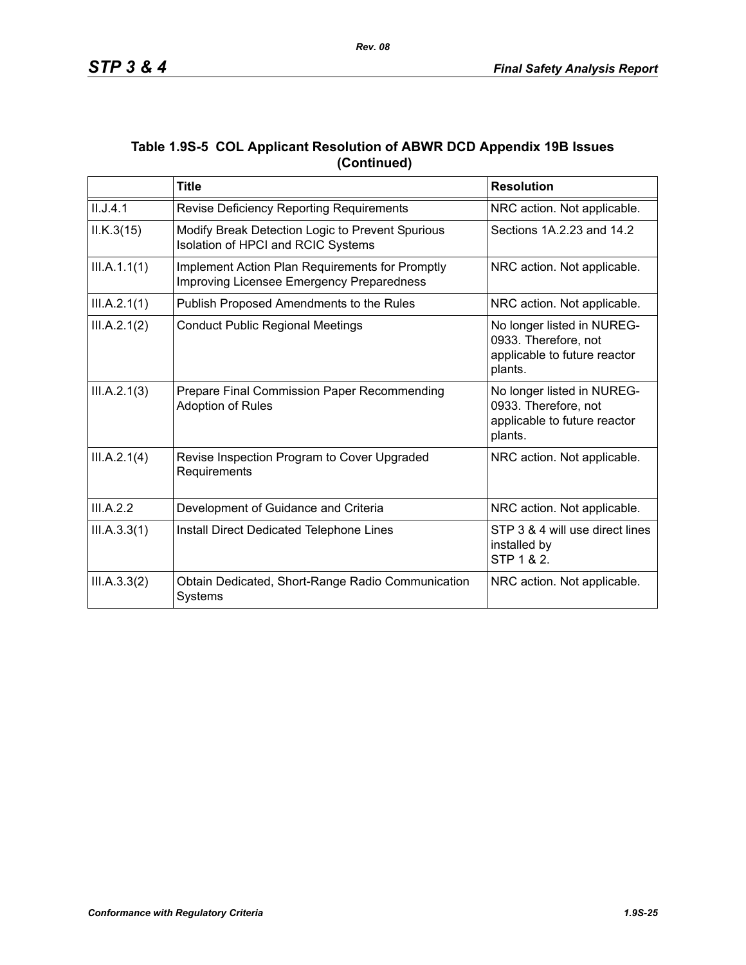|             | Table 1.9S-5 COL Applicant Resolution of ABWR DCD Appendix 19B Issues |
|-------------|-----------------------------------------------------------------------|
| (Continued) |                                                                       |

|              | <b>Title</b>                                                                                        | <b>Resolution</b>                                                                             |
|--------------|-----------------------------------------------------------------------------------------------------|-----------------------------------------------------------------------------------------------|
| II.J.4.1     | Revise Deficiency Reporting Requirements                                                            | NRC action. Not applicable.                                                                   |
| ILK.3(15)    | Modify Break Detection Logic to Prevent Spurious<br>Isolation of HPCI and RCIC Systems              | Sections 1A.2.23 and 14.2                                                                     |
| III.A.1.1(1) | Implement Action Plan Requirements for Promptly<br><b>Improving Licensee Emergency Preparedness</b> | NRC action. Not applicable.                                                                   |
| III.A.2.1(1) | Publish Proposed Amendments to the Rules                                                            | NRC action. Not applicable.                                                                   |
| III.A.2.1(2) | <b>Conduct Public Regional Meetings</b>                                                             | No longer listed in NUREG-<br>0933. Therefore, not<br>applicable to future reactor<br>plants. |
| III.A.2.1(3) | Prepare Final Commission Paper Recommending<br><b>Adoption of Rules</b>                             | No longer listed in NUREG-<br>0933. Therefore, not<br>applicable to future reactor<br>plants. |
| III.A.2.1(4) | Revise Inspection Program to Cover Upgraded<br>Requirements                                         | NRC action. Not applicable.                                                                   |
| III.A.2.2    | Development of Guidance and Criteria                                                                | NRC action. Not applicable.                                                                   |
| III.A.3.3(1) | Install Direct Dedicated Telephone Lines                                                            | STP 3 & 4 will use direct lines<br>installed by<br>STP 1 & 2.                                 |
| III.A.3.3(2) | Obtain Dedicated, Short-Range Radio Communication<br>Systems                                        | NRC action. Not applicable.                                                                   |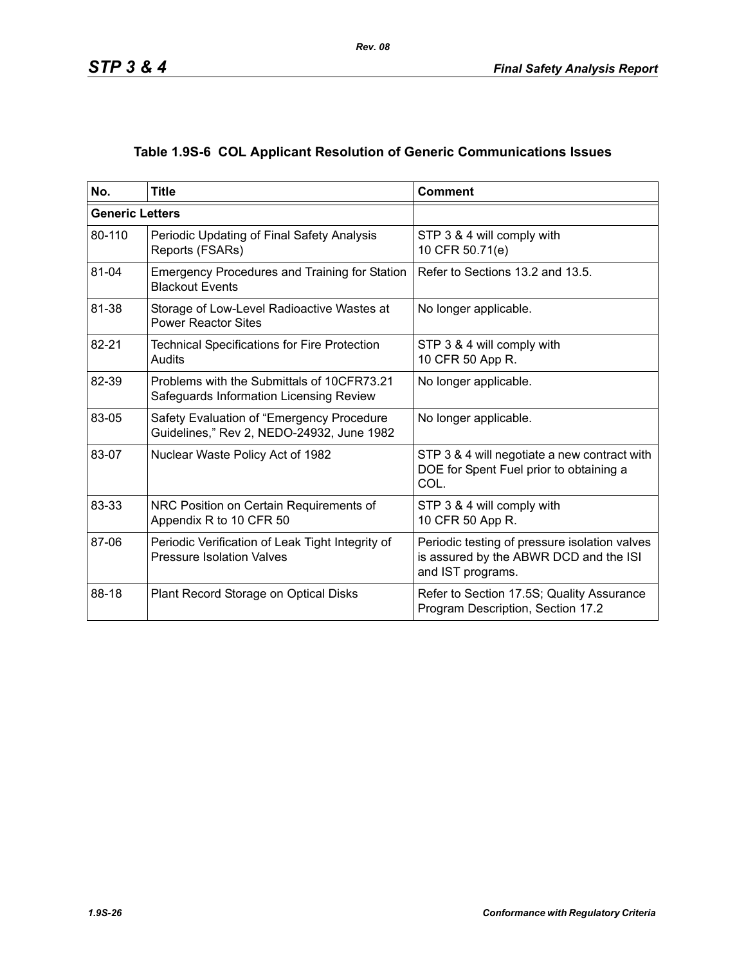# **Table 1.9S-6 COL Applicant Resolution of Generic Communications Issues**

| No.                    | <b>Title</b>                                                                           | <b>Comment</b>                                                                                               |
|------------------------|----------------------------------------------------------------------------------------|--------------------------------------------------------------------------------------------------------------|
| <b>Generic Letters</b> |                                                                                        |                                                                                                              |
| 80-110                 | Periodic Updating of Final Safety Analysis<br>Reports (FSARs)                          | STP 3 & 4 will comply with<br>10 CFR 50.71(e)                                                                |
| 81-04                  | <b>Emergency Procedures and Training for Station</b><br><b>Blackout Events</b>         | Refer to Sections 13.2 and 13.5.                                                                             |
| 81-38                  | Storage of Low-Level Radioactive Wastes at<br><b>Power Reactor Sites</b>               | No longer applicable.                                                                                        |
| 82-21                  | <b>Technical Specifications for Fire Protection</b><br>Audits                          | STP 3 & 4 will comply with<br>10 CFR 50 App R.                                                               |
| 82-39                  | Problems with the Submittals of 10CFR73.21<br>Safeguards Information Licensing Review  | No longer applicable.                                                                                        |
| 83-05                  | Safety Evaluation of "Emergency Procedure<br>Guidelines," Rev 2, NEDO-24932, June 1982 | No longer applicable.                                                                                        |
| 83-07                  | Nuclear Waste Policy Act of 1982                                                       | STP 3 & 4 will negotiate a new contract with<br>DOE for Spent Fuel prior to obtaining a<br>COL.              |
| 83-33                  | NRC Position on Certain Requirements of<br>Appendix R to 10 CFR 50                     | STP 3 & 4 will comply with<br>10 CFR 50 App R.                                                               |
| 87-06                  | Periodic Verification of Leak Tight Integrity of<br><b>Pressure Isolation Valves</b>   | Periodic testing of pressure isolation valves<br>is assured by the ABWR DCD and the ISI<br>and IST programs. |
| 88-18                  | Plant Record Storage on Optical Disks                                                  | Refer to Section 17.5S; Quality Assurance<br>Program Description, Section 17.2                               |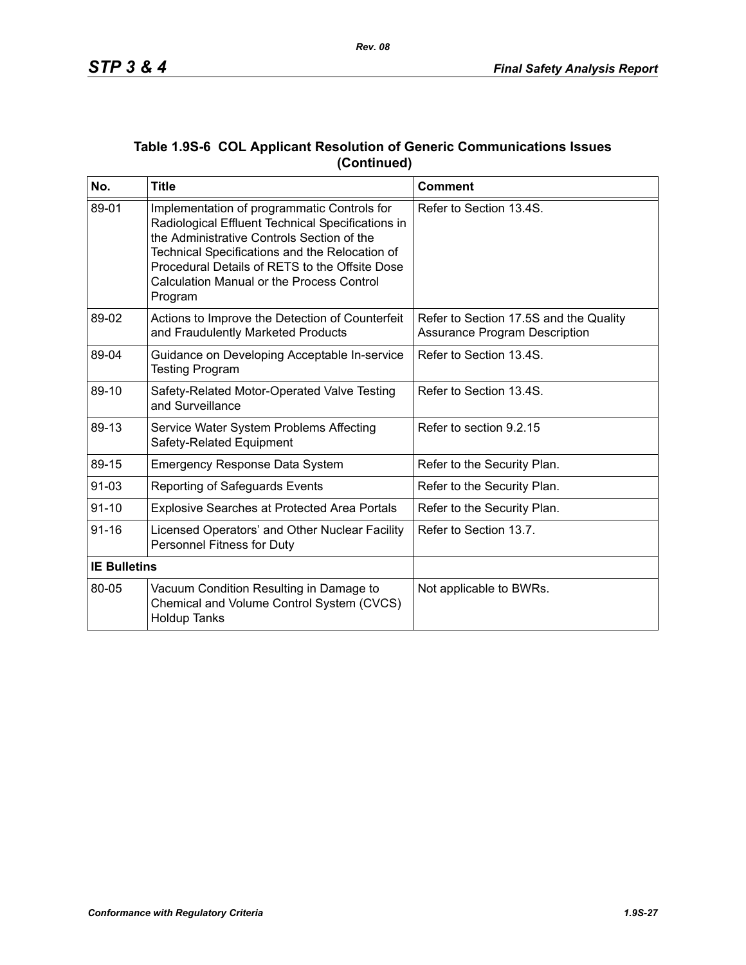| No.                 | <b>Title</b>                                                                                                                                                                                                                                                                                                      | <b>Comment</b>                                                                 |
|---------------------|-------------------------------------------------------------------------------------------------------------------------------------------------------------------------------------------------------------------------------------------------------------------------------------------------------------------|--------------------------------------------------------------------------------|
| 89-01               | Implementation of programmatic Controls for<br>Radiological Effluent Technical Specifications in<br>the Administrative Controls Section of the<br>Technical Specifications and the Relocation of<br>Procedural Details of RETS to the Offsite Dose<br><b>Calculation Manual or the Process Control</b><br>Program | Refer to Section 13.4S.                                                        |
| 89-02               | Actions to Improve the Detection of Counterfeit<br>and Fraudulently Marketed Products                                                                                                                                                                                                                             | Refer to Section 17.5S and the Quality<br><b>Assurance Program Description</b> |
| 89-04               | Guidance on Developing Acceptable In-service<br><b>Testing Program</b>                                                                                                                                                                                                                                            | Refer to Section 13.4S.                                                        |
| 89-10               | Safety-Related Motor-Operated Valve Testing<br>and Surveillance                                                                                                                                                                                                                                                   | Refer to Section 13.4S.                                                        |
| 89-13               | Service Water System Problems Affecting<br>Safety-Related Equipment                                                                                                                                                                                                                                               | Refer to section 9.2.15                                                        |
| 89-15               | <b>Emergency Response Data System</b>                                                                                                                                                                                                                                                                             | Refer to the Security Plan.                                                    |
| $91 - 03$           | Reporting of Safeguards Events                                                                                                                                                                                                                                                                                    | Refer to the Security Plan.                                                    |
| $91 - 10$           | <b>Explosive Searches at Protected Area Portals</b>                                                                                                                                                                                                                                                               | Refer to the Security Plan.                                                    |
| $91 - 16$           | Licensed Operators' and Other Nuclear Facility<br>Personnel Fitness for Duty                                                                                                                                                                                                                                      | Refer to Section 13.7.                                                         |
| <b>IE Bulletins</b> |                                                                                                                                                                                                                                                                                                                   |                                                                                |
| 80-05               | Vacuum Condition Resulting in Damage to<br>Chemical and Volume Control System (CVCS)<br><b>Holdup Tanks</b>                                                                                                                                                                                                       | Not applicable to BWRs.                                                        |

### **Table 1.9S-6 COL Applicant Resolution of Generic Communications Issues (Continued)**